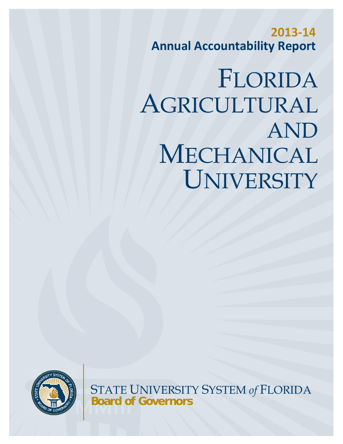**2013‐14 Annual Accountability Report**

# FLORIDA AGRICULTURAL AND MECHANICAL UNIVERSITY



STATE UNIVERSITY SYSTEM *of* FLORIDA **Board of Governors**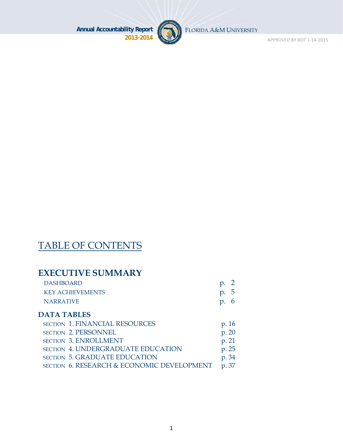

FLORIDA A&M UNIVERSITY

APPROVED BY BOT 1‐14‐2015

# TABLE OF CONTENTS

### **EXECUTIVE SUMMARY**

| <b>DASHBOARD</b>        | $p. \, 2$   |
|-------------------------|-------------|
| <b>KEY ACHIEVEMENTS</b> | p.5         |
| NARRATIVE               | $p_{\cdot}$ |

#### **DATA TABLES**

| <b>SECTION 1. FINANCIAL RESOURCES</b>      | p. 16 |
|--------------------------------------------|-------|
| SECTION 2. PERSONNEL                       | p. 20 |
| <b>SECTION 3. ENROLLMENT</b>               | p. 21 |
| <b>SECTION 4. UNDERGRADUATE EDUCATION</b>  | p. 25 |
| <b>SECTION 5. GRADUATE EDUCATION</b>       | p. 34 |
| SECTION 6. RESEARCH & ECONOMIC DEVELOPMENT | p. 37 |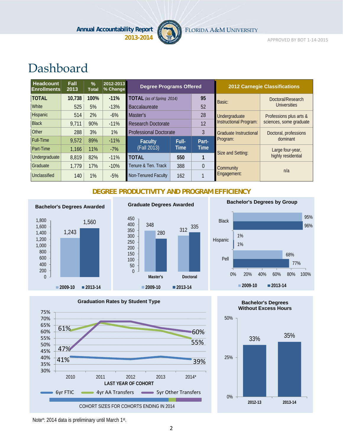

FLORIDA A&M UNIVERSITY

APPROVED BY BOT 1‐14‐2015

# Dashboard

| <b>Headcount</b><br><b>Enrollments</b> | Fall<br>2013 | $\frac{9}{6}$<br><b>Total</b> | 2012-2013<br>% Change | <b>Degree Programs Offered</b>         |       |               |                               | <b>2012 Carnegie Classifications</b> |
|----------------------------------------|--------------|-------------------------------|-----------------------|----------------------------------------|-------|---------------|-------------------------------|--------------------------------------|
| <b>TOTAL</b>                           | 10,738       | 100%                          | $-11%$                | 95<br><b>TOTAL</b> (as of Spring 2014) |       | Basic:        | Doctoral/Research             |                                      |
| White                                  | 525          | 5%                            | $-13%$                | <b>Baccalaureate</b>                   |       | 52            |                               | <b>Universities</b>                  |
| Hispanic                               | 514          | 2%                            | $-6%$                 | 28<br>Master's                         |       | Undergraduate | Professions plus arts &       |                                      |
| <b>Black</b>                           | 9.711        | 90%                           | $-11%$                | <b>Research Doctorate</b>              |       | 12            | Instructional Program:        | sciences, some graduate              |
| <b>Other</b>                           | 288          | 3%                            | $1\%$                 | <b>Professional Doctorate</b>          |       | 3             | <b>Graduate Instructional</b> | Doctoral, professions                |
| <b>Full-Time</b>                       | 9,572        | 89%                           | $-11%$                | <b>Faculty</b>                         | Full- | Part-         | Program:                      | dominant                             |
| Part-Time                              | 1,166        | 11%                           | $-7%$                 | (Fall 2013)                            | Time  | <b>Time</b>   | Size and Setting:             | Large four-year,                     |
| Undergraduate                          | 8,819        | 82%                           | $-11%$                | <b>TOTAL</b>                           | 550   |               |                               | highly residential                   |
| Graduate                               | 1.779        | 17%                           | $-10%$                | Tenure & Ten. Track                    | 388   | $\theta$      | Community                     |                                      |
| Unclassified                           | 140          | 1%                            | $-5%$                 | Non-Tenured Faculty                    | 162   |               | Engagement:                   | n/a                                  |

#### **DEGREE PRODUCTIVITY AND PROGRAM EFFICIENCY**





**Graduate Degrees Awarded**

**2009-10 2013-14**

**Master's Doctoral**







0 50 100



Note\*: 2014 data is preliminary until March 1st.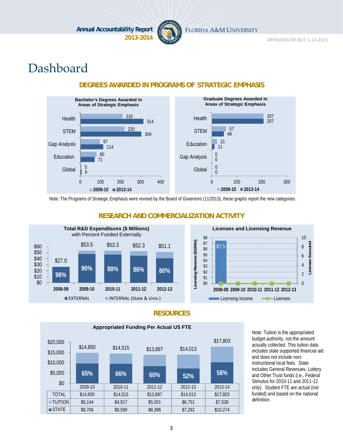

FLORIDA A&M UNIVERSITY

APPROVED BY BOT 1‐14‐2015

# Dashboard



#### **DEGREES AWARDED IN PROGRAMS OF STRATEGIC EMPHASIS**

Note: The Programs of Strategic Emphasis were revised by the Board of Governors (11/2013), these graphs report the new categories.



#### **RESEARCH AND COMMERCIALIZATION ACTIVITY**



#### **RESOURCES**



Note: Tuition is the appropriated budget authority, not the amount actually collected. This tuition data includes state supported financial aid and does not include noninstructional local fees. State includes General Revenues, Lottery and Other Trust funds (i.e., Federal Stimulus for 2010-11 and 2011-12 only). Student FTE are actual (not funded) and based on the national definition.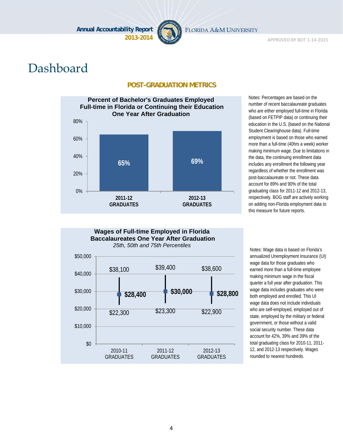

FLORIDA A&M UNIVERSITY

APPROVED BY BOT 1‐14‐2015

# Dashboard

#### **POST-GRADUATION METRICS**



Notes: Percentages are based on the number of recent baccalaureate graduates who are either employed full-time in Florida (based on FETPIP data) or continuing their education in the U.S. (based on the National Student Clearinghouse data). Full-time employment is based on those who earned more than a full-time (40hrs a week) worker making minimum wage. Due to limitations in the data, the continuing enrollment data includes any enrollment the following year regardless of whether the enrollment was post-baccalaureate or not. These data account for 89% and 90% of the total graduating class for 2011-12 and 2012-13, respectively. BOG staff are actively working on adding non-Florida employment data to this measure for future reports.



annualized Unemployment Insurance (UI) wage data for those graduates who earned more than a full-time employee making minimum wage in the fiscal quarter a full year after graduation. This wage data includes graduates who were both employed and enrolled. This UI wage data does not include individuals who are self-employed, employed out of state, employed by the military or federal government, or those without a valid social security number. These data account for 42%, 39% and 39% of the total graduating class for 2010-11, 2011- 12, and 2012-13 respectively. Wages rounded to nearest hundreds.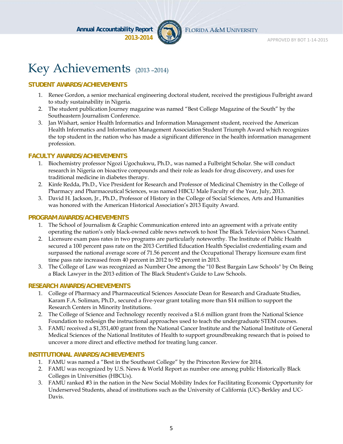

FLORIDA A&M UNIVERSITY

# Key Achievements (2013 –2014)

#### **STUDENT AWARDS/ACHIEVEMENTS**

- 1. Renee Gordon, a senior mechanical engineering doctoral student, received the prestigious Fulbright award to study sustainability in Nigeria.
- 2. The student publication Journey magazine was named "Best College Magazine of the South" by the Southeastern Journalism Conference.
- 3. Jan Wishart, senior Health Informatics and Information Management student, received the American Health Informatics and Information Management Association Student Triumph Award which recognizes the top student in the nation who has made a significant difference in the health information management profession.

#### **FACULTY AWARDS/ACHIEVEMENTS**

- 1. Biochemistry professor Ngozi Ugochukwu, Ph.D., was named a Fulbright Scholar. She will conduct research in Nigeria on bioactive compounds and their role as leads for drug discovery, and uses for traditional medicine in diabetes therapy.
- 2. Kinfe Redda, Ph.D., Vice President for Research and Professor of Medicinal Chemistry in the College of Pharmacy and Pharmaceutical Sciences, was named HBCU Male Faculty of the Year, July, 2013.
- 3. David H. Jackson, Jr., Ph.D., Professor of History in the College of Social Sciences, Arts and Humanities was honored with the American Historical Association's 2013 Equity Award.

#### **PROGRAM AWARDS/ACHIEVEMENTS**

- 1. The School of Journalism & Graphic Communication entered into an agreement with a private entity operating the nation's only black-owned cable news network to host The Black Television News Channel.
- 2. Licensure exam pass rates in two programs are particularly noteworthy. The Institute of Public Health secured a 100 percent pass rate on the 2013 Certified Education Health Specialist credentialing exam and surpassed the national average score of 71.56 percent and the Occupational Therapy licensure exam first time pass rate increased from 40 percent in 2012 to 92 percent in 2013.
- 3. The College of Law was recognized as Number One among the "10 Best Bargain Law Schools" by On Being a Black Lawyer in the 2013 edition of The Black Student's Guide to Law Schools.

#### **RESEARCH AWARDS/ACHIEVEMENTS**

- 1. College of Pharmacy and Pharmaceutical Sciences Associate Dean for Research and Graduate Studies, Karam F.A. Soliman, Ph.D., secured a five-year grant totaling more than \$14 million to support the Research Centers in Minority Institutions.
- 2. The College of Science and Technology recently received a \$1.6 million grant from the National Science Foundation to redesign the instructional approaches used to teach the undergraduate STEM courses.
- 3. FAMU received a \$1,351,400 grant from the National Cancer Institute and the National Institute of General Medical Sciences of the National Institutes of Health to support groundbreaking research that is poised to uncover a more direct and effective method for treating lung cancer.

#### **INSTITUTIONAL AWARDS/ACHIEVEMENTS**

- 1. FAMU was named a "Best in the Southeast College" by the Princeton Review for 2014.
- 2. FAMU was recognized by U.S. News & World Report as number one among public Historically Black Colleges in Universities (HBCUs).
- 3. FAMU ranked #3 in the nation in the New Social Mobility Index for Facilitating Economic Opportunity for Underserved Students, ahead of institutions such as the University of California (UC)-Berkley and UC-Davis.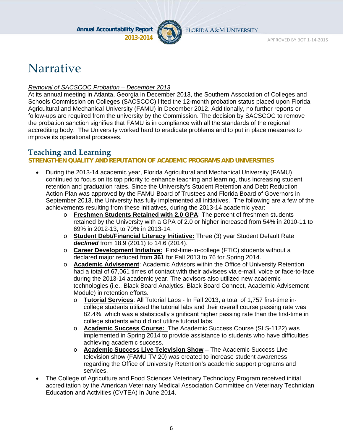

FLORIDA A&M UNIVERSITY

# **Narrative**

#### *Removal of SACSCOC Probation – December 2013*

At its annual meeting in Atlanta, Georgia in December 2013, the Southern Association of Colleges and Schools Commission on Colleges (SACSCOC) lifted the 12-month probation status placed upon Florida Agricultural and Mechanical University (FAMU) in December 2012. Additionally, no further reports or follow-ups are required from the university by the Commission. The decision by SACSCOC to remove the probation sanction signifies that FAMU is in compliance with all the standards of the regional accrediting body. The University worked hard to eradicate problems and to put in place measures to improve its operational processes.

### **Teaching and Learning**

#### **STRENGTHEN QUALITY AND REPUTATION OF ACADEMIC PROGRAMS AND UNIVERSITIES**

- During the 2013-14 academic year, Florida Agricultural and Mechanical University (FAMU) continued to focus on its top priority to enhance teaching and learning, thus increasing student retention and graduation rates. Since the University's Student Retention and Debt Reduction Action Plan was approved by the FAMU Board of Trustees and Florida Board of Governors in September 2013, the University has fully implemented all initiatives. The following are a few of the achievements resulting from these initiatives, during the 2013-14 academic year:
	- o **Freshmen Students Retained with 2.0 GPA**: The percent of freshmen students retained by the University with a GPA of 2.0 or higher increased from 54% in 2010-11 to 69% in 2012-13, to 70% in 2013-14.
	- o **Student Debt/Financial Literacy Initiative:** Three (3) year Student Default Rate *declined* from 18.9 (2011) to 14.6 (2014).
	- o **Career Development Initiative:** First-time-in-college (FTIC) students without a declared major reduced from **361** for Fall 2013 to 76 for Spring 2014.
	- o **Academic Advisement**: Academic Advisors within the Office of University Retention had a total of 67,061 times of contact with their advisees via e-mail, voice or face-to-face during the 2013-14 academic year. The advisors also utilized new academic technologies (i.e., Black Board Analytics, Black Board Connect, Academic Advisement Module) in retention efforts.
		- o **Tutorial Services**: All Tutorial Labs In Fall 2013, a total of 1,757 first-time incollege students utilized the tutorial labs and their overall course passing rate was 82.4%, which was a statistically significant higher passing rate than the first-time in college students who did not utilize tutorial labs.
		- o **Academic Success Course:** The Academic Success Course (SLS-1122) was implemented in Spring 2014 to provide assistance to students who have difficulties achieving academic success.
		- o **Academic Success Live Television Show** The Academic Success Live television show (FAMU TV 20) was created to increase student awareness regarding the Office of University Retention's academic support programs and services.
- The College of Agriculture and Food Sciences Veterinary Technology Program received initial accreditation by the American Veterinary Medical Association Committee on Veterinary Technician Education and Activities (CVTEA) in June 2014.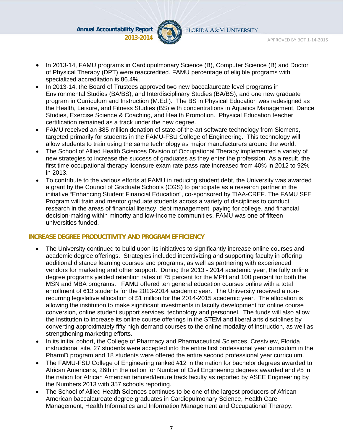

FLORIDA A&M UNIVERSITY

- In 2013-14, FAMU programs in Cardiopulmonary Science (B), Computer Science (B) and Doctor of Physical Therapy (DPT) were reaccredited. FAMU percentage of eligible programs with specialized accreditation is 86.4%.
- In 2013-14, the Board of Trustees approved two new baccalaureate level programs in Environmental Studies (BA/BS), and Interdisciplinary Studies (BA/BS), and one new graduate program in Curriculum and Instruction (M.Ed.). The BS in Physical Education was redesigned as the Health, Leisure, and Fitness Studies (BS) with concentrations in Aquatics Management, Dance Studies, Exercise Science & Coaching, and Health Promotion. Physical Education teacher certification remained as a track under the new degree.
- FAMU received an \$85 million donation of state-of-the-art software technology from Siemens, targeted primarily for students in the FAMU-FSU College of Engineering. This technology will allow students to train using the same technology as major manufacturers around the world.
- The School of Allied Health Sciences Division of Occupational Therapy implemented a variety of new strategies to increase the success of graduates as they enter the profession. As a result, the first time occupational therapy licensure exam rate pass rate increased from 40% in 2012 to 92% in 2013.
- To contribute to the various efforts at FAMU in reducing student debt, the University was awarded a grant by the Council of Graduate Schools (CGS) to participate as a research partner in the initiative "Enhancing Student Financial Education", co-sponsored by TIAA-CREF. The FAMU SFE Program will train and mentor graduate students across a variety of disciplines to conduct research in the areas of financial literacy, debt management, paying for college, and financial decision-making within minority and low-income communities. FAMU was one of fifteen universities funded.

#### **INCREASE DEGREE PRODUCITIVITY AND PROGRAM EFFICIENCY**

- The University continued to build upon its initiatives to significantly increase online courses and academic degree offerings. Strategies included incentivizing and supporting faculty in offering additional distance learning courses and programs, as well as partnering with experienced vendors for marketing and other support. During the 2013 - 2014 academic year, the fully online degree programs yielded retention rates of 75 percent for the MPH and 100 percent for both the MSN and MBA programs. FAMU offered ten general education courses online with a total enrollment of 613 students for the 2013-2014 academic year. The University received a nonrecurring legislative allocation of \$1 million for the 2014-2015 academic year. The allocation is allowing the institution to make significant investments in faculty development for online course conversion, online student support services, technology and personnel. The funds will also allow the institution to increase its online course offerings in the STEM and liberal arts disciplines by converting approximately fifty high demand courses to the online modality of instruction, as well as strengthening marketing efforts.
- In its initial cohort, the College of Pharmacy and Pharmaceutical Sciences, Crestview, Florida instructional site, 27 students were accepted into the entire first professional year curriculum in the PharmD program and 18 students were offered the entire second professional year curriculum.
- The FAMU-FSU College of Engineering ranked #12 in the nation for bachelor degrees awarded to African Americans, 26th in the nation for Number of Civil Engineering degrees awarded and #5 in the nation for African American tenured/tenure track faculty as reported by ASEE Engineering by the Numbers 2013 with 357 schools reporting.
- The School of Allied Health Sciences continues to be one of the largest producers of African American baccalaureate degree graduates in Cardiopulmonary Science, Health Care Management, Health Informatics and Information Management and Occupational Therapy.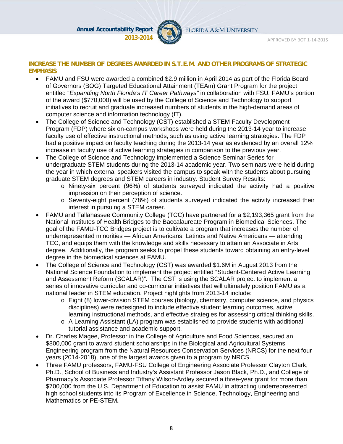

FLORIDA A&M UNIVERSITY

APPROVED BY BOT 1‐14‐2015

#### **INCREASE THE NUMBER OF DEGREES AWARDED IN S.T.E.M. AND OTHER PROGRAMS OF STRATEGIC EMPHASIS**

- FAMU and FSU were awarded a combined \$2.9 million in April 2014 as part of the Florida Board of Governors (BOG) Targeted Educational Attainment (TEAm) Grant Program for the project entitled "*Expanding North Florida's IT Career Pathways"* in collaboration with FSU*.* FAMU's portion of the award (\$770,000) will be used by the College of Science and Technology to support initiatives to recruit and graduate increased numbers of students in the high-demand areas of computer science and information technology (IT).
- The College of Science and Technology (CST) established a STEM Faculty Development Program (FDP) where six on-campus workshops were held during the 2013-14 year to increase faculty use of effective instructional methods, such as using active learning strategies. The FDP had a positive impact on faculty teaching during the 2013-14 year as evidenced by an overall 12% increase in faculty use of active learning strategies in comparison to the previous year.
- The College of Science and Technology implemented a Science Seminar Series for undergraduate STEM students during the 2013-14 academic year. Two seminars were held during the year in which external speakers visited the campus to speak with the students about pursuing graduate STEM degrees and STEM careers in industry. Student Survey Results:
	- o Ninety-six percent (96%) of students surveyed indicated the activity had a positive impression on their perception of science.
	- o Seventy-eight percent (78%) of students surveyed indicated the activity increased their interest in pursuing a STEM career.
- FAMU and Tallahassee Community College (TCC) have partnered for a \$2,193,365 grant from the National Institutes of Health Bridges to the Baccalaureate Program in Biomedical Sciences. The goal of the FAMU-TCC Bridges project is to cultivate a program that increases the number of underrepresented minorities — African Americans, Latinos and Native Americans — attending TCC, and equips them with the knowledge and skills necessary to attain an Associate in Arts degree. Additionally, the program seeks to propel these students toward obtaining an entry-level degree in the biomedical sciences at FAMU.
- The College of Science and Technology (CST) was awarded \$1.6M in August 2013 from the National Science Foundation to implement the project entitled "Student-Centered Active Learning and Assessment Reform (SCALAR)". The CST is using the SCALAR project to implement a series of innovative curricular and co-curricular initiatives that will ultimately position FAMU as a national leader in STEM education. Project highlights from 2013-14 include:
	- o Eight (8) lower-division STEM courses (biology, chemistry, computer science, and physics disciplines) were redesigned to include effective student learning outcomes, active learning instructional methods, and effective strategies for assessing critical thinking skills.
	- $\circ$  A Learning Assistant (LA) program was established to provide students with additional tutorial assistance and academic support.
- Dr. Charles Magee, Professor in the College of Agriculture and Food Sciences, secured an \$800,000 grant to award student scholarships in the Biological and Agricultural Systems Engineering program from the Natural Resources Conservation Services (NRCS) for the next four years (2014-2018), one of the largest awards given to a program by NRCS.
- Three FAMU professors, FAMU-FSU College of Engineering Associate Professor Clayton Clark, Ph.D., School of Business and Industry's Assistant Professor Jason Black, Ph.D., and College of Pharmacy's Associate Professor Tiffany Wilson-Ardley secured a three-year grant for more than \$700,000 from the U.S. Department of Education to assist FAMU in attracting underrepresented high school students into its Program of Excellence in Science, Technology, Engineering and Mathematics or PE-STEM**.**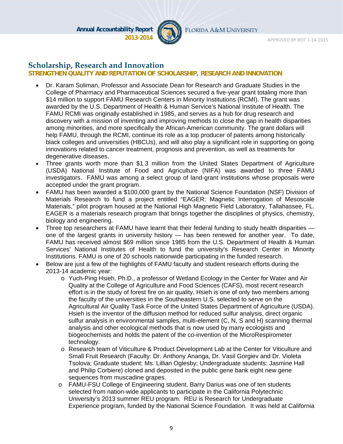

FLORIDA A&M UNIVERSITY

#### **Scholarship, Research and Innovation**

#### **STRENGTHEN QUALITY AND REPUTATION OF SCHOLARSHIP, RESEARCH AND INNOVATION**

- Dr. Karam Soliman, Professor and Associate Dean for Research and Graduate Studies in the College of Pharmacy and Pharmaceutical Sciences secured a five‐year grant totaling more than \$14 million to support FAMU Research Centers in Minority Institutions (RCMI). The grant was awarded by the U.S. Department of Health & Human Service's National Institute of Health. The FAMU RCMI was originally established in 1985, and serves as a hub for drug research and discovery with a mission of inventing and improving methods to close the gap in health disparities among minorities, and more specifically the African-American community. The grant dollars will help FAMU, through the RCMI, continue its role as a top producer of patents among historically black colleges and universities (HBCUs), and will also play a significant role in supporting on going innovations related to cancer treatment, prognosis and prevention, as well as treatments for degenerative diseases.
- Three grants worth more than \$1.3 million from the United States Department of Agriculture (USDA) National Institute of Food and Agriculture (NIFA) was awarded to three FAMU investigators. FAMU was among a select group of land-grant institutions whose proposals were accepted under the grant program.
- FAMU has been awarded a \$100,000 grant by the National Science Foundation (NSF) Division of Materials Research to fund a project entitled "EAGER: Magnetic Interrogation of Mesoscale Materials," pilot program housed at the National High Magnetic Field Laboratory, Tallahassee, FL. EAGER is a materials research program that brings together the disciplines of physics, chemistry, biology and engineering.
- Three top researchers at FAMU have learnt that their federal funding to study health disparities one of the largest grants in university history — has been renewed for another year. To date, FAMU has received almost \$69 million since 1985 from the U.S. Department of Health & Human Services' National Institutes of Health to fund the university's Research Center in Minority Institutions. FAMU is one of 20 schools nationwide participating in the funded research.
- Below are just a few of the highlights of FAMU faculty and student research efforts during the 2013-14 academic year:
	- o Yuch-Ping Hsieh, Ph.D., a professor of Wetland Ecology in the Center for Water and Air Quality at the College of Agriculture and Food Sciences (CAFS), most recent research effort is in the study of forest fire on air quality. Hsieh is one of only two members among the faculty of the universities in the Southeastern U.S. selected to serve on the Agricultural Air Quality Task Force of the United States Department of Agriculture (USDA). Hsieh is the inventor of the diffusion method for reduced sulfur analysis, direct organic sulfur analysis in environmental samples, multi-element (C, N, S and H) scanning thermal analysis and other ecological methods that is now used by many ecologists and biogeochemists and holds the patent of the co-invention of the MicroRespirometer technology.
	- o Research team of Viticulture & Product Development Lab at the Center for Viticulture and Small Fruit Research (Faculty: Dr. Anthony Ananga, Dr. Vasil Gorgiev and Dr. Violeta Tsolova; Graduate student: Ms. Lillian Oglesby; Undergraduate students: Jasmine Hall and Philip Corbiere) cloned and deposited in the public gene bank eight new gene sequences from muscadine grapes.
	- o FAMU-FSU College of Engineering student, Barry Darius was one of ten students selected from nation-wide applicants to participate in the California Polytechnic University's 2013 summer REU program. REU is Research for Undergraduate Experience program, funded by the National Science Foundation. It was held at California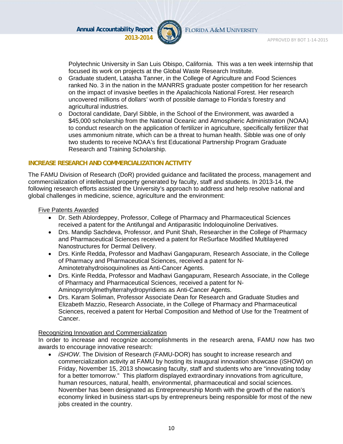

Polytechnic University in San Luis Obispo, California. This was a ten week internship that focused its work on projects at the Global Waste Research Institute.

- o Graduate student, Latasha Tanner, in the College of Agriculture and Food Sciences ranked No. 3 in the nation in the MANRRS graduate poster competition for her research on the impact of invasive beetles in the Apalachicola National Forest. Her research uncovered millions of dollars' worth of possible damage to Florida's forestry and agricultural industries.
- o Doctoral candidate, Daryl Sibble, in the School of the Environment, was awarded a \$45,000 scholarship from the National Oceanic and Atmospheric Administration (NOAA) to conduct research on the application of fertilizer in agriculture, specifically fertilizer that uses ammonium nitrate, which can be a threat to human health. Sibble was one of only two students to receive NOAA's first Educational Partnership Program Graduate Research and Training Scholarship.

#### **INCREASE RESEARCH AND COMMERCIALIZATION ACTIVITY**

The FAMU Division of Research (DoR) provided guidance and facilitated the process, management and commercialization of intellectual property generated by faculty, staff and students. In 2013-14, the following research efforts assisted the University's approach to address and help resolve national and global challenges in medicine, science, agriculture and the environment:

#### Five Patents Awarded

- Dr. Seth Ablordeppey, Professor, College of Pharmacy and Pharmaceutical Sciences received a patent for the Antifungal and Antiparasitic Indoloquinoline Derivatives.
- Drs. Mandip Sachdeva, Professor, and Punit Shah, Researcher in the College of Pharmacy and Pharmaceutical Sciences received a patent for ReSurface Modified Multilayered Nanostructures for Dermal Delivery.
- Drs. Kinfe Redda, Professor and Madhavi Gangapuram, Research Associate, in the College of Pharmacy and Pharmaceutical Sciences, received a patent for N-Aminotetrahydroisoquinolines as Anti-Cancer Agents.
- Drs. Kinfe Redda, Professor and Madhavi Gangapuram, Research Associate, in the College of Pharmacy and Pharmaceutical Sciences, received a patent for N-Aminopyrrolylmethylterrahydropyridiens as Anti-Cancer Agents.
- Drs. Karam Soliman, Professor Associate Dean for Research and Graduate Studies and Elizabeth Mazzio, Research Associate, in the College of Pharmacy and Pharmaceutical Sciences, received a patent for Herbal Composition and Method of Use for the Treatment of Cancer.

#### Recognizing Innovation and Commercialization

In order to increase and recognize accomplishments in the research arena, FAMU now has two awards to encourage innovative research:

 *iSHOW*. The Division of Research (FAMU-DOR) has sought to increase research and commercialization activity at FAMU by hosting its inaugural innovation showcase (iSHOW) on Friday, November 15, 2013 showcasing faculty, staff and students who are "innovating today for a better tomorrow." This platform displayed extraordinary innovations from agriculture, human resources, natural, health, environmental, pharmaceutical and social sciences. November has been designated as Entrepreneurship Month with the growth of the nation's economy linked in business start-ups by entrepreneurs being responsible for most of the new jobs created in the country.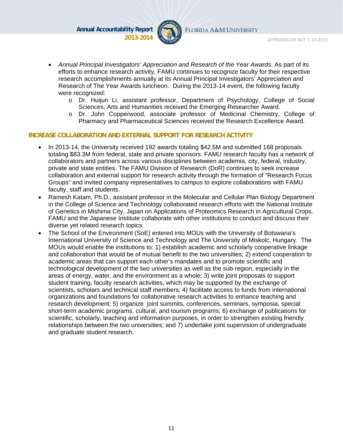

FLORIDA A&M UNIVERSITY

- *Annual Principal Investigators' Appreciation and Research of the Year Awards*. As part of its efforts to enhance research activity, FAMU continues to recognize faculty for their respective research accomplishments annually at its Annual Principal Investigators' Appreciation and Research of The Year Awards luncheon. During the 2013-14 event, the following faculty were recognized:
	- o Dr. Huijun Li, assistant professor, Department of Psychology, College of Social Sciences, Arts and Humanities received the Emerging Researcher Award.
	- o Dr. John Copperwood, associate professor of Medicinal Chemistry, College of Pharmacy and Pharmaceutical Sciences received the Research Excellence Award.

#### **INCREASE COLLABORATION AND EXTERNAL SUPPORT FOR RESEARCH ACTIVITY**

- In 2013-14, the University received 192 awards totaling \$42.5M and submitted 168 proposals totaling \$83.3M from federal, state and private sponsors. FAMU research faculty has a network of collaborators and partners across various disciplines between academia, city, federal, industry, private and state entities. The FAMU Division of Research (DoR) continues to seek increase collaboration and external support for research activity through the formation of "Research Focus Groups" and invited company representatives to campus to explore collaborations with FAMU faculty, staff and students.
- Ramesh Katam, Ph.D., assistant professor in the Molecular and Cellular Plan Biology Department in the College of Science and Technology collaborated research efforts with the National Institute of Genetics in Mishima City, Japan on Applications of Proteomics Research in Agricultural Crops. FAMU and the Japanese Institute collaborate with other institutions to conduct and discuss their diverse yet related research topics.
- The School of the Environment (SoE) entered into MOUs with the University of Botswana's International University of Science and Technology and The University of Miskolc, Hungary. The MOUs would enable the institutions to: 1) establish academic and scholarly cooperative linkage and collaboration that would be of mutual benefit to the two universities; 2) extend cooperation to academic areas that can support each other's mandates and to promote scientific and technological development of the two universities as well as the sub-region, especially in the areas of energy, water, and the environment as a whole; 3) write joint proposals to support student training, faculty research activities, which may be supported by the exchange of scientists, scholars and technical staff members; 4) facilitate access to funds from international organizations and foundations for collaborative research activities to enhance teaching and research development; 5) organize joint summits, conferences, seminars, symposia, special short-term academic programs, cultural, and tourism programs; 6) exchange of publications for scientific, scholarly, teaching and information purposes, in order to strengthen existing friendly relationships between the two universities; and 7) undertake joint supervision of undergraduate and graduate student research.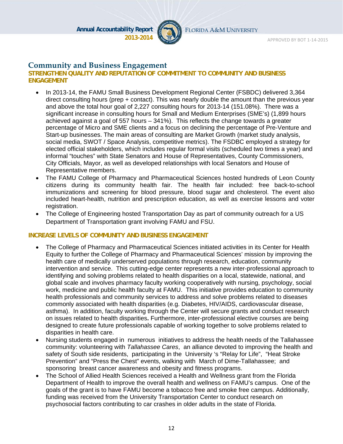

FLORIDA A&M UNIVERSITY

#### **Community and Business Engagement**

#### **STRENGTHEN QUALITY AND REPUTATION OF COMMITMENT TO COMMUNITY AND BUSINESS ENGAGEMENT**

- In 2013-14, the FAMU Small Business Development Regional Center (FSBDC) delivered 3,364 direct consulting hours (prep + contact). This was nearly double the amount than the previous year and above the total hour goal of 2,227 consulting hours for 2013-14 (151.08%). There was a significant increase in consulting hours for Small and Medium Enterprises (SME's) (1,899 hours achieved against a goal of 557 hours – 341%). This reflects the change towards a greater percentage of Micro and SME clients and a focus on declining the percentage of Pre-Venture and Start-up businesses. The main areas of consulting are Market Growth (market study analysis, social media, SWOT / Space Analysis, competitive metrics). The FSDBC employed a strategy for elected official stakeholders, which includes regular formal visits (scheduled two times a year) and informal "touches" with State Senators and House of Representatives, County Commissioners, City Officials, Mayor, as well as developed relationships with local Senators and House of Representative members.
- The FAMU College of Pharmacy and Pharmaceutical Sciences hosted hundreds of Leon County citizens during its community health fair. The health fair included: free back-to-school immunizations and screening for blood pressure, blood sugar and cholesterol. The event also included heart-health, nutrition and prescription education, as well as exercise lessons and voter registration.
- The College of Engineering hosted Transportation Day as part of community outreach for a US Department of Transportation grant involving FAMU and FSU.

#### **INCREASE LEVELS OF COMMUNITY AND BUSINESS ENGAGEMENT**

- The College of Pharmacy and Pharmaceutical Sciences initiated activities in its Center for Health Equity to further the College of Pharmacy and Pharmaceutical Sciences' mission by improving the health care of medically underserved populations through research, education, community intervention and service. This cutting-edge center represents a new inter-professional approach to identifying and solving problems related to health disparities on a local, statewide, national, and global scale and involves pharmacy faculty working cooperatively with nursing, psychology, social work, medicine and public health faculty at FAMU. This initiative provides education to community health professionals and community services to address and solve problems related to diseases commonly associated with health disparities (e.g. Diabetes, HIV/AIDS, cardiovascular disease, asthma). In addition, faculty working through the Center will secure grants and conduct research on issues related to health disparities**.** Furthermore, inter-professional elective courses are being designed to create future professionals capable of working together to solve problems related to disparities in health care.
- Nursing students engaged in numerous initiatives to address the health needs of the Tallahassee community: volunteering with *Tallahassee Cares*, an alliance devoted to improving the health and safety of South side residents, participating in the University 's "Relay for Life", "Heat Stroke Prevention" and "Press the Chest" events, walking with March of Dime-Tallahassee; and sponsoring breast cancer awareness and obesity and fitness programs.
- The School of Allied Health Sciences received a Health and Wellness grant from the Florida Department of Health to improve the overall health and wellness on FAMU's campus. One of the goals of the grant is to have FAMU become a tobacco free and smoke free campus. Additionally, funding was received from the University Transportation Center to conduct research on psychosocial factors contributing to car crashes in older adults in the state of Florida.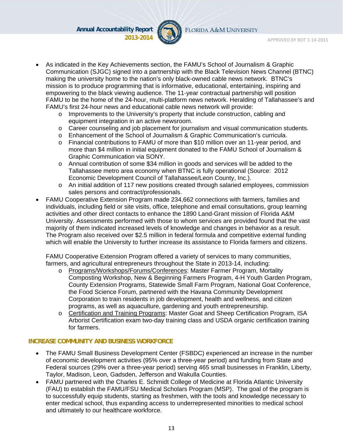

FLORIDA A&M UNIVERSITY

- As indicated in the Key Achievements section, the FAMU's School of Journalism & Graphic Communication (SJGC) signed into a partnership with the Black Television News Channel (BTNC) making the university home to the nation's only black-owned cable news network. BTNC's mission is to produce programming that is informative, educational, entertaining, inspiring and empowering to the black viewing audience. The 11-year contractual partnership will position FAMU to be the home of the 24-hour, multi-platform news network. Heralding of Tallahassee's and FAMU's first 24-hour news and educational cable news network will provide:
	- $\circ$  Improvements to the University's property that include construction, cabling and equipment integration in an active newsroom.
	- o Career counseling and job placement for journalism and visual communication students.
	- o Enhancement of the School of Journalism & Graphic Communication's curricula.
	- o Financial contributions to FAMU of more than \$10 million over an 11-year period, and more than \$4 million in initial equipment donated to the FAMU School of Journalism & Graphic Communication via SONY.
	- o Annual contribution of some \$34 million in goods and services will be added to the Tallahassee metro area economy when BTNC is fully operational (Source: 2012 Economic Development Council of Tallahassee/Leon County, Inc.).
	- o An initial addition of 117 new positions created through salaried employees, commission sales persons and contract/professionals.
- FAMU Cooperative Extension Program made 234,662 connections with farmers, families and individuals, including field or site visits, office, telephone and email consultations, group learning activities and other direct contacts to enhance the 1890 Land-Grant mission of Florida A&M University. Assessments performed with those to whom services are provided found that the vast majority of them indicated increased levels of knowledge and changes in behavior as a result. The Program also received over \$2.5 million in federal formula and competitive external funding which will enable the University to further increase its assistance to Florida farmers and citizens.

FAMU Cooperative Extension Program offered a variety of services to many communities, farmers, and agricultural entrepreneurs throughout the State in 2013-14, including:

- o Programs/Workshops/Forums/Conferences: Master Farmer Program, Mortality Composting Workshop, New & Beginning Farmers Program, 4-H Youth Garden Program, County Extension Programs, Statewide Small Farm Program, National Goat Conference, the Food Science Forum, partnered with the Havana Community Development Corporation to train residents in job development, health and wellness, and citizen programs, as well as aquaculture, gardening and youth entrepreneurship.
- o Certification and Training Programs: Master Goat and Sheep Certification Program, ISA Arborist Certification exam two-day training class and USDA organic certification training for farmers.

#### **INCREASE COMMUNITY AND BUSINESS WORKFORCE**

- The FAMU Small Business Development Center (FSBDC) experienced an increase in the number of economic development activities (95% over a three-year period) and funding from State and Federal sources (29% over a three-year period) serving 465 small businesses in Franklin, Liberty, Taylor, Madison, Leon, Gadsden, Jefferson and Wakulla Counties.
- FAMU partnered with the Charles E. Schmidt College of Medicine at Florida Atlantic University (FAU) to establish the FAMU/FSU Medical Scholars Program (MSP). The goal of the program is to successfully equip students, starting as freshmen, with the tools and knowledge necessary to enter medical school, thus expanding access to underrepresented minorities to medical school and ultimately to our healthcare workforce.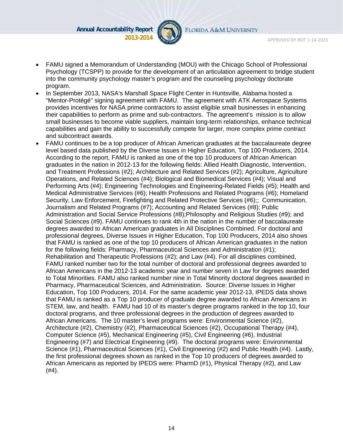

FLORIDA A&M UNIVERSITY

- FAMU signed a Memorandum of Understanding (MOU) with the Chicago School of Professional Psychology (TCSPP) to provide for the development of an articulation agreement to bridge student into the community psychology master's program and the counseling psychology doctorate program.
- In September 2013, NASA's Marshall Space Flight Center in Huntsville, Alabama hosted a "Mentor-Protégé" signing agreement with FAMU. The agreement with ATK Aerospace Systems provides incentives for NASA prime contractors to assist eligible small businesses in enhancing their capabilities to perform as prime and sub-contractors. The agreement's mission is to allow small businesses to become viable suppliers, maintain long-term relationships, enhance technical capabilities and gain the ability to successfully compete for larger, more complex prime contract and subcontract awards.
- FAMU continues to be a top producer of African American graduates at the baccalaureate degree level based data published by the Diverse Issues in Higher Education, Top 100 Producers, 2014. According to the report, FAMU is ranked as one of the top 10 producers of African American graduates in the nation in 2012-13 for the following fields: Allied Health Diagnostic, Intervention, and Treatment Professions (#2); Architecture and Related Services (#2); Agriculture, Agriculture Operations, and Related Sciences (#4); Biological and Biomedical Services (#4); Visual and Performing Arts (#4); Engineering Technologies and Engineering-Related Fields (#5); Health and Medical Administrative Services (#6); Health Professions and Related Programs (#6); Homeland Security, Law Enforcement, Firefighting and Related Protective Services (#6);; Communication, Journalism and Related Programs (#7); Accounting and Related Services (#8); Public Administration and Social Service Professions (#8);Philosophy and Religious Studies (#9); and Social Sciences (#9). FAMU continues to rank 4th in the nation in the number of baccalaureate degrees awarded to African American graduates in All Disciplines Combined. For doctoral and professional degrees, Diverse Issues in Higher Education, Top 100 Producers, 2014 also shows that FAMU is ranked as one of the top 10 producers of African American graduates in the nation for the following fields: Pharmacy, Pharmaceutical Sciences and Administration (#1); Rehabilitation and Therapeutic Professions (#2); and Law (#4). For all disciplines combined, FAMU ranked number two for the total number of doctoral and professional degrees awarded to African Americans in the 2012-13 academic year and number seven in Law for degrees awarded to Total Minorities. FAMU also ranked number nine in Total Minority doctoral degrees awarded in Pharmacy, Pharmaceutical Sciences, and Administration. Source: Diverse Issues in Higher Education, Top 100 Producers, 2014. For the same academic year 2012-13, IPEDS data shows that FAMU is ranked as a Top 10 producer of graduate degree awarded to African Americans in STEM, law, and health. FAMU had 10 of its master's degree programs ranked in the top 10, four doctoral programs, and three professional degrees in the production of degrees awarded to African Americans. The 10 master's level programs were: Environmental Science (#2), Architecture (#2), Chemistry (#2), Pharmaceutical Sciences (#2), Occupational Therapy (#4), Computer Science (#5), Mechanical Engineering (#5), Civil Engineering (#6), Industrial Engineering (#7) and Electrical Engineering (#9). The doctoral programs were: Environmental Science (#1), Pharmaceutical Sciences (#1), Civil Engineering (#2) and Public Health (#4). Lastly, the first professional degrees shown as ranked in the Top 10 producers of degrees awarded to African Americans as reported by IPEDS were: PharmD (#1), Physical Therapy (#2), and Law (#4).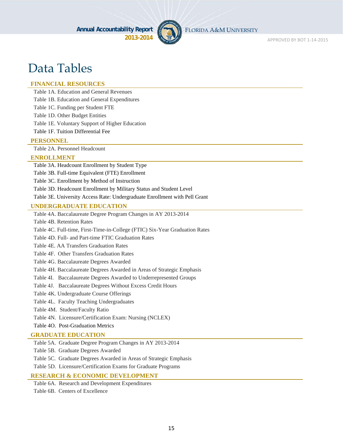

FLORIDA A&M UNIVERSITY

APPROVED BY BOT 1‐14‐2015

# Data Tables

#### **FINANCIAL RESOURCES**

Table 1A. Education and General Revenues

Table 1B. Education and General Expenditures

Table 1C. Funding per Student FTE

Table 1D. Other Budget Entities

Table 1E. Voluntary Support of Higher Education

Table 1F. Tuition Differential Fee

#### **PERSONNEL**

Table 2A. Personnel Headcount

#### **ENROLLMENT**

Table 3A. Headcount Enrollment by Student Type

Table 3B. Full-time Equivalent (FTE) Enrollment

Table 3C. Enrollment by Method of Instruction

Table 3D. Headcount Enrollment by Military Status and Student Level

Table 3E. University Access Rate: Undergraduate Enrollment with Pell Grant

#### **UNDERGRADUATE EDUCATION**

Table 4A. Baccalaureate Degree Program Changes in AY 2013-2014

Table 4B. Retention Rates

Table 4C. Full-time, First-Time-in-College (FTIC) Six-Year Graduation Rates

Table 4D. Full- and Part-time FTIC Graduation Rates

Table 4E. AA Transfers Graduation Rates

Table 4F. Other Transfers Graduation Rates

Table 4G. Baccalaureate Degrees Awarded

Table 4H. Baccalaureate Degrees Awarded in Areas of Strategic Emphasis

Table 4I. Baccalaureate Degrees Awarded to Underrepresented Groups

Table 4J. Baccalaureate Degrees Without Excess Credit Hours

Table 4K. Undergraduate Course Offerings

Table 4L. Faculty Teaching Undergraduates

Table 4M. Student/Faculty Ratio

Table 4N. Licensure/Certification Exam: Nursing (NCLEX)

Table 4O. Post-Graduation Metrics

#### **GRADUATE EDUCATION**

Table 5A. Graduate Degree Program Changes in AY 2013-2014

Table 5B. Graduate Degrees Awarded

Table 5C. Graduate Degrees Awarded in Areas of Strategic Emphasis

Table 5D. Licensure/Certification Exams for Graduate Programs

#### **RESEARCH & ECONOMIC DEVELOPMENT**

Table 6A. Research and Development Expenditures Table 6B. Centers of Excellence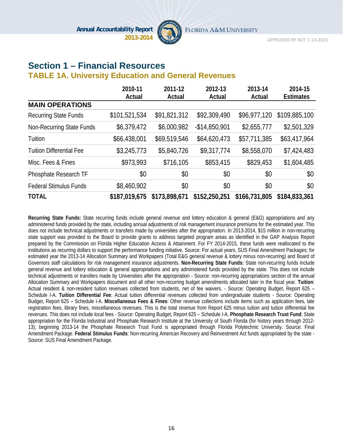

### **Section 1 – Financial Resources**

#### **TABLE 1A. University Education and General Revenues**

|                                 | 2010-11       | 2011-12       | 2012-13        | 2013-14       | 2014-15          |
|---------------------------------|---------------|---------------|----------------|---------------|------------------|
|                                 | Actual        | Actual        | Actual         | Actual        | <b>Estimates</b> |
| <b>MAIN OPERATIONS</b>          |               |               |                |               |                  |
| <b>Recurring State Funds</b>    | \$101,521,534 | \$91,821,312  | \$92,309,490   | \$96,977,120  | \$109,885,100    |
| Non-Recurring State Funds       | \$6,379,472   | \$6,000,982   | $-$14,850,901$ | \$2,655,777   | \$2,501,329      |
| Tuition                         | \$66,438,001  | \$69,519,546  | \$64,620,473   | \$57,711,385  | \$63,417,964     |
| <b>Tuition Differential Fee</b> | \$3,245,773   | \$5,840,726   | \$9,317,774    | \$8,558,070   | \$7,424,483      |
| Misc. Fees & Fines              | \$973,993     | \$716,105     | \$853,415      | \$829,453     | \$1,604,485      |
| Phosphate Research TF           | \$0           | \$0           | \$0            | \$0           | \$0              |
| <b>Federal Stimulus Funds</b>   | \$8,460,902   | \$0           | \$0            | \$0           | \$0              |
| <b>TOTAL</b>                    | \$187,019,675 | \$173,898,671 | \$152,250,251  | \$166,731,805 | \$184,833,361    |

**Recurring State Funds:** State recurring funds include general revenue and lottery education & general (E&G) appropriations and any administered funds provided by the state, including annual adjustments of risk management insurance premiums for the estimated year. This does not include technical adjustments or transfers made by universities after the appropriation. In 2013-2014, \$15 million in non-recurring state support was provided to the Board to provide grants to address targeted program areas as identified in the GAP Analysis Report prepared by the Commission on Florida Higher Education Access & Attainment. For FY 2014-2015, these funds were reallocated to the institutions as recurring dollars to support the performance funding initiative. Source: For actual years, SUS Final Amendment Packages; for estimated year the 2013-14 Allocation Summary and Workpapers (Total E&G general revenue & lottery minus non-recurring) and Board of Governors staff calculations for risk management insurance adjustments. **Non-Recurring State Funds:** State non-recurring funds include general revenue and lottery education & general appropriations and any administered funds provided by the state. This does not include technical adjustments or transfers made by Universities after the appropriation - Source: non-recurring appropriations section of the annual Allocation Summary and Workpapers document and all other non-recurring budget amendments allocated later in the fiscal year. **Tuition**: Actual resident & non-resident tuition revenues collected from students, net of fee waivers. - Source: Operating Budget, Report 625 – Schedule I-A. **Tuition Differential Fee**: Actual tuition differential revenues collected from undergraduate students - Source: Operating Budget, Report 625 – Schedule I-A. **Miscellaneous Fees & Fines**: Other revenue collections include items such as application fees, late registration fees, library fines, miscellaneous revenues. This is the total revenue from Report 625 minus tuition and tuition differential fee revenues. This does not include local fees - Source: Operating Budget, Report 625 – Schedule I-A. **Phosphate Research Trust Fund**: State appropriation for the Florida Industrial and Phosphate Research Institute at the University of South Florida (for history years through 2012- 13); beginning 2013-14 the Phosphate Research Trust Fund is appropriated through Florida Polytechnic University. Source: Final Amendment Package. **Federal Stimulus Funds**: Non-recurring American Recovery and Reinvestment Act funds appropriated by the state - Source: SUS Final Amendment Package.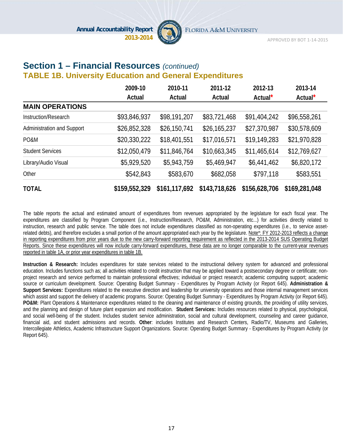

#### **Section 1 – Financial Resources** *(continued)*  **TABLE 1B. University Education and General Expenditures**

|                            | 2009-10       | 2010-11       | 2011-12       | 2012-13             | 2013-14             |
|----------------------------|---------------|---------------|---------------|---------------------|---------------------|
|                            | Actual        | Actual        | Actual        | Actual <sup>*</sup> | Actual <sup>*</sup> |
| <b>MAIN OPERATIONS</b>     |               |               |               |                     |                     |
| Instruction/Research       | \$93,846,937  | \$98,191,207  | \$83,721,468  | \$91,404,242        | \$96,558,261        |
| Administration and Support | \$26,852,328  | \$26,150,741  | \$26,165,237  | \$27,370,987        | \$30,578,609        |
| PO&M                       | \$20,330,222  | \$18,401,551  | \$17,016,571  | \$19,149,283        | \$21,970,828        |
| <b>Student Services</b>    | \$12,050,479  | \$11,846,764  | \$10,663,345  | \$11,465,614        | \$12,769,627        |
| Library/Audio Visual       | \$5,929,520   | \$5,943,759   | \$5,469,947   | \$6,441,462         | \$6,820,172         |
| Other                      | \$542,843     | \$583,670     | \$682,058     | \$797,118           | \$583,551           |
| <b>TOTAL</b>               | \$159,552,329 | \$161,117,692 | \$143,718,626 | \$156,628,706       | \$169,281,048       |

The table reports the actual and estimated amount of expenditures from revenues appropriated by the legislature for each fiscal year. The expenditures are classified by Program Component (i.e., Instruction/Research, PO&M, Administration, etc...) for activities directly related to instruction, research and public service. The table does not include expenditures classified as non-operating expenditures (i.e., to service assetrelated debts), and therefore excludes a small portion of the amount appropriated each year by the legislature. Note\*: FY 2012-2013 reflects a change in reporting expenditures from prior years due to the new carry-forward reporting requirement as reflected in the 2013-2014 SUS Operating Budget Reports. Since these expenditures will now include carry-forward expenditures, these data are no longer comparable to the current-year revenues reported in table 1A, or prior year expenditures in table 1B.

**Instruction & Research:** Includes expenditures for state services related to the instructional delivery system for advanced and professional education. Includes functions such as; all activities related to credit instruction that may be applied toward a postsecondary degree or certificate; nonproject research and service performed to maintain professional effectives; individual or project research; academic computing support; academic source or curriculum development. Source: Operating Budget Summary - Expenditures by Program Activity (or Report 645). **Administration & Support Services:** Expenditures related to the executive direction and leadership for university operations and those internal management services which assist and support the delivery of academic programs. Source: Operating Budget Summary - Expenditures by Program Activity (or Report 645). **PO&M:** Plant Operations & Maintenance expenditures related to the cleaning and maintenance of existing grounds, the providing of utility services, and the planning and design of future plant expansion and modification. **Student Services:** Includes resources related to physical, psychological, and social well-being of the student. Includes student service administration, social and cultural development, counseling and career guidance, financial aid, and student admissions and records. **Other**: includes Institutes and Research Centers, Radio/TV, Museums and Galleries, Intercollegiate Athletics, Academic Infrastructure Support Organizations. Source: Operating Budget Summary - Expenditures by Program Activity (or Report 645).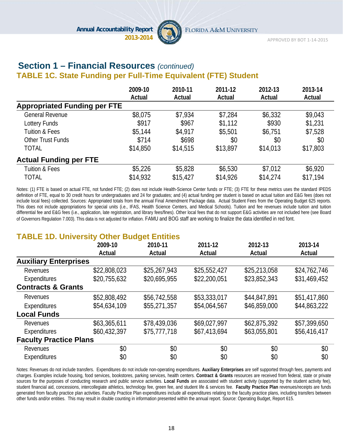

#### **Section 1 – Financial Resources** *(continued)*  **TABLE 1C. State Funding per Full-Time Equivalent (FTE) Student**

|                                     | 2009-10  | 2010-11  | 2011-12  | 2012-13  | 2013-14  |
|-------------------------------------|----------|----------|----------|----------|----------|
|                                     | Actual   | Actual   | Actual   | Actual   | Actual   |
| <b>Appropriated Funding per FTE</b> |          |          |          |          |          |
| <b>General Revenue</b>              | \$8,075  | \$7,934  | \$7,284  | \$6,332  | \$9,043  |
| Lottery Funds                       | \$917    | \$967    | \$1,112  | \$930    | \$1,231  |
| <b>Tuition &amp; Fees</b>           | \$5,144  | \$4,917  | \$5,501  | \$6,751  | \$7,528  |
| Other Trust Funds                   | \$714    | \$698    | \$0      | \$0      | \$0      |
| <b>TOTAL</b>                        | \$14,850 | \$14,515 | \$13,897 | \$14,013 | \$17,803 |
| <b>Actual Funding per FTE</b>       |          |          |          |          |          |
| <b>Tuition &amp; Fees</b>           | \$5,226  | \$5,828  | \$6,530  | \$7,012  | \$6,920  |
| <b>TOTAL</b>                        | \$14,932 | \$15,427 | \$14,926 | \$14,274 | \$17,194 |

Notes: (1) FTE is based on actual FTE, not funded FTE; (2) does not include Health-Science Center funds or FTE; (3) FTE for these metrics uses the standard IPEDS definition of FTE, equal to 30 credit hours for undergraduates and 24 for graduates; and (4) actual funding per student is based on actual tuition and E&G fees (does not include local fees) collected. Sources: Appropriated totals from the annual Final Amendment Package data. Actual Student Fees from the Operating Budget 625 reports. This does not include appropriations for special units (i.e., IFAS, Health Science Centers, and Medical Schools). Tuition and fee revenues include tuition and tuition differential fee and E&G fees (i.e., application, late registration, and library fees/fines). Other local fees that do not support E&G activities are not included here (see Board of Governors Regulation 7.003). This data is not adjusted for inflation. FAMU and BOG staff are working to finalize the data identified in red font.

### **TABLE 1D. University Other Budget Entities**

|                               | 2009-10      | ---<br>2010-11 | 2011-12      | 2012-13      | 2013-14      |
|-------------------------------|--------------|----------------|--------------|--------------|--------------|
|                               | Actual       | Actual         | Actual       | Actual       | Actual       |
| <b>Auxiliary Enterprises</b>  |              |                |              |              |              |
| Revenues                      | \$22,808,023 | \$25,267,943   | \$25,552,427 | \$25,213,058 | \$24,762,746 |
| Expenditures                  | \$20,755,632 | \$20,695,955   | \$22,200,051 | \$23,852,343 | \$31,469,452 |
| <b>Contracts &amp; Grants</b> |              |                |              |              |              |
| Revenues                      | \$52,808,492 | \$56,742,558   | \$53,333,017 | \$44,847,891 | \$51,417,860 |
| Expenditures                  | \$54,634,109 | \$55,271,357   | \$54,064,567 | \$46,859,000 | \$44,863,222 |
| <b>Local Funds</b>            |              |                |              |              |              |
| Revenues                      | \$63,365,611 | \$78,439,036   | \$69,027,997 | \$62,875,392 | \$57,399,650 |
| Expenditures                  | \$60,432,397 | \$75,777,718   | \$67,413,694 | \$63,055,801 | \$56,416,417 |
| <b>Faculty Practice Plans</b> |              |                |              |              |              |
| Revenues                      | \$0          | \$0            | \$0          | \$0          | \$0          |
| Expenditures                  | \$0          | \$0            | \$0          | \$0          | \$0          |

Notes: Revenues do not include transfers. Expenditures do not include non-operating expenditures. **Auxiliary Enterprises** are self supported through fees, payments and charges. Examples include housing, food services, bookstores, parking services, health centers. **Contract & Grants** resources are received from federal, state or private sources for the purposes of conducting research and public service activities. **Local Funds** are associated with student activity (supported by the student activity fee), student financial aid, concessions, intercollegiate athletics, technology fee, green fee, and student life & services fee. **Faculty Practice Plan** revenues/receipts are funds generated from faculty practice plan activities. Faculty Practice Plan expenditures include all expenditures relating to the faculty practice plans, including transfers between other funds and/or entities. This may result in double counting in information presented within the annual report. Source: Operating Budget, Report 615.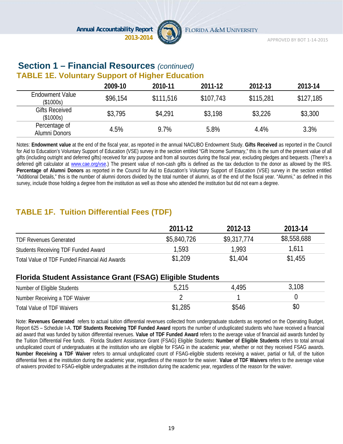

### **Section 1 – Financial Resources** *(continued)* **TABLE 1E. Voluntary Support of Higher Education**

|                                     | 2009-10  | 2010-11   | 2011-12   | 2012-13   | 2013-14   |
|-------------------------------------|----------|-----------|-----------|-----------|-----------|
| <b>Endowment Value</b><br>(\$1000s) | \$96,154 | \$111,516 | \$107,743 | \$115,281 | \$127,185 |
| <b>Gifts Received</b><br>(\$1000s)  | \$3,795  | \$4,291   | \$3,198   | \$3,226   | \$3,300   |
| Percentage of<br>Alumni Donors      | 4.5%     | 9.7%      | 5.8%      | 4.4%      | 3.3%      |

Notes: **Endowment value** at the end of the fiscal year, as reported in the annual NACUBO Endowment Study. **Gifts Received** as reported in the Council for Aid to Education's Voluntary Support of Education (VSE) survey in the section entitled "Gift Income Summary," this is the sum of the present value of all gifts (including outright and deferred gifts) received for any purpose and from all sources during the fiscal year, excluding pledges and bequests. (There's a deferred gift calculator at www.cae.org/vse.) The present value of non-cash gifts is defined as the tax deduction to the donor as allowed by the IRS. **Percentage of Alumni Donors** as reported in the Council for Aid to Education's Voluntary Support of Education (VSE) survey in the section entitled "Additional Details," this is the number of alumni donors divided by the total number of alumni, as of the end of the fiscal year. "Alumni," as defined in this survey, include those holding a degree from the institution as well as those who attended the institution but did not earn a degree.

### **TABLE 1F. Tuition Differential Fees (TDF)**

|                                                | 2011-12     | 2012-13     | 2013-14     |
|------------------------------------------------|-------------|-------------|-------------|
| <b>TDF Revenues Generated</b>                  | \$5,840,726 | \$9,317,774 | \$8,558,688 |
| Students Receiving TDF Funded Award            | 1,593       | 1,993       | 1,611       |
| Total Value of TDF Funded Financial Aid Awards | \$1,209     | \$1,404     | \$1,455     |

#### **Florida Student Assistance Grant (FSAG) Eligible Students**

| Number of Eligible Students   | 5,215   | 4,495 | ,108 |
|-------------------------------|---------|-------|------|
| Number Receiving a TDF Waiver |         |       |      |
| Total Value of TDF Waivers    | \$1,285 | \$546 | \$0  |

Note: **Revenues Generated** refers to actual tuition differential revenues collected from undergraduate students as reported on the Operating Budget, Report 625 – Schedule I-A. **TDF Students Receiving TDF Funded Award** reports the number of unduplicated students who have received a financial aid award that was funded by tuition differential revenues. **Value of TDF Funded Award** refers to the average value of financial aid awards funded by the Tuition Differential Fee funds. Florida Student Assistance Grant (FSAG) Eligible Students**: Number of Eligible Students** refers to total annual unduplicated count of undergraduates at the institution who are eligible for FSAG in the academic year, whether or not they received FSAG awards. **Number Receiving a TDF Waiver** refers to annual unduplicated count of FSAG-eligible students receiving a waiver, partial or full, of the tuition differential fees at the institution during the academic year, regardless of the reason for the waiver. **Value of TDF Waivers** refers to the average value of waivers provided to FSAG-eligible undergraduates at the institution during the academic year, regardless of the reason for the waiver.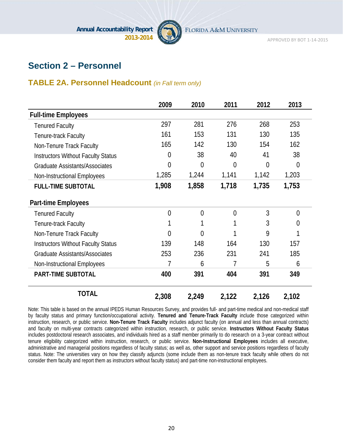

APPROVED BY BOT 1‐14‐2015

### **Section 2 – Personnel**

### **TABLE 2A. Personnel Headcount** *(in Fall term only)*

|                                           | 2009           | 2010           | 2011           | 2012  | 2013           |
|-------------------------------------------|----------------|----------------|----------------|-------|----------------|
| <b>Full-time Employees</b>                |                |                |                |       |                |
| <b>Tenured Faculty</b>                    | 297            | 281            | 276            | 268   | 253            |
| Tenure-track Faculty                      | 161            | 153            | 131            | 130   | 135            |
| Non-Tenure Track Faculty                  | 165            | 142            | 130            | 154   | 162            |
| <b>Instructors Without Faculty Status</b> | 0              | 38             | 40             | 41    | 38             |
| <b>Graduate Assistants/Associates</b>     | 0              | $\overline{0}$ | $\overline{0}$ | 0     | $\overline{0}$ |
| Non-Instructional Employees               | 1,285          | 1,244          | 1,141          | 1,142 | 1,203          |
| <b>FULL-TIME SUBTOTAL</b>                 | 1,908          | 1,858          | 1,718          | 1,735 | 1,753          |
| <b>Part-time Employees</b>                |                |                |                |       |                |
| <b>Tenured Faculty</b>                    | $\overline{0}$ | $\overline{0}$ | $\overline{0}$ | 3     | $\theta$       |
| Tenure-track Faculty                      |                |                | 1              | 3     | $\overline{0}$ |
| Non-Tenure Track Faculty                  | 0              | 0              | 1              | 9     | 1              |
| <b>Instructors Without Faculty Status</b> | 139            | 148            | 164            | 130   | 157            |
| <b>Graduate Assistants/Associates</b>     | 253            | 236            | 231            | 241   | 185            |
| Non-Instructional Employees               | 7              | 6              | 7              | 5     | 6              |
| <b>PART-TIME SUBTOTAL</b>                 | 400            | 391            | 404            | 391   | 349            |
| <b>TOTAL</b>                              | 2,308          | 2,249          | 2,122          | 2,126 | 2,102          |

Note: This table is based on the annual IPEDS Human Resources Survey, and provides full- and part-time medical and non-medical staff by faculty status and primary function/occupational activity. **Tenured and Tenure-Track Faculty** include those categorized within instruction, research, or public service. **Non-Tenure Track Faculty** includes adjunct faculty (on annual and less than annual contracts) and faculty on multi-year contracts categorized within instruction, research, or public service. **Instructors Without Faculty Status** includes postdoctoral research associates, and individuals hired as a staff member primarily to do research on a 3-year contract without tenure eligibility categorized within instruction, research, or public service. **Non-Instructional Employees** includes all executive, administrative and managerial positions regardless of faculty status; as well as, other support and service positions regardless of faculty status. Note: The universities vary on how they classify adjuncts (some include them as non-tenure track faculty while others do not consider them faculty and report them as instructors without faculty status) and part-time non-instructional employees.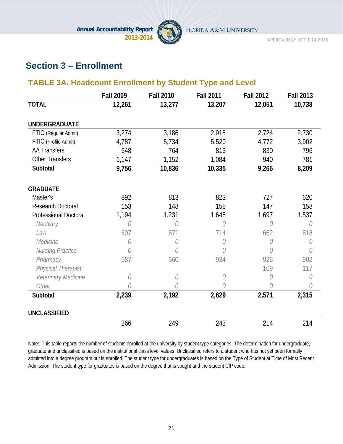

APPROVED BY BOT 1‐14‐2015

### **Section 3 – Enrollment**

### **TABLE 3A. Headcount Enrollment by Student Type and Level**

|                              | <b>Fall 2009</b> | <b>Fall 2010</b> | <b>Fall 2011</b> | <b>Fall 2012</b> | <b>Fall 2013</b> |
|------------------------------|------------------|------------------|------------------|------------------|------------------|
| <b>TOTAL</b>                 | 12,261           | 13,277           | 13,207           | 12,051           | 10,738           |
| <b>UNDERGRADUATE</b>         |                  |                  |                  |                  |                  |
| FTIC (Regular Admit)         | 3,274            | 3,186            | 2,918            | 2,724            | 2,730            |
| FTIC (Profile Admit)         | 4,787            | 5,734            | 5,520            | 4,772            | 3,902            |
| <b>AA Transfers</b>          | 548              | 764              | 813              | 830              | 796              |
| <b>Other Transfers</b>       | 1,147            | 1,152            | 1,084            | 940              | 781              |
| Subtotal                     | 9,756            | 10,836           | 10,335           | 9,266            | 8,209            |
| <b>GRADUATE</b>              |                  |                  |                  |                  |                  |
| Master's                     | 892              | 813              | 823              | 727              | 620              |
| <b>Research Doctoral</b>     | 153              | 148              | 158              | 147              | 158              |
| <b>Professional Doctoral</b> | 1,194            | 1,231            | 1,648            | 1,697            | 1,537            |
| Dentistry                    | O                | 0                | 0                | 0                | 0                |
| Law                          | 607              | 671              | 714              | 662              | 518              |
| Medicine                     | 0                | O                | 0                | O                | 0                |
| Nursing Practice             | 0                | 0                | 0                | 0                | 0                |
| Pharmacy                     | 587              | 560              | 934              | 926              | 902              |
| Physical Therapist           |                  |                  |                  | 109              | 117              |
| Veterinary Medicine          | 0                | 0                | 0                | 0                | 0                |
| Other                        | 0                | 0                | 0                | 0                | 0                |
| Subtotal                     | 2,239            | 2,192            | 2,629            | 2,571            | 2,315            |
| <b>UNCLASSIFIED</b>          |                  |                  |                  |                  |                  |
|                              | 266              | 249              | 243              | 214              | 214              |

Note: This table reports the number of students enrolled at the university by student type categories. The determination for undergraduate, graduate and unclassified is based on the institutional class level values. Unclassified refers to a student who has not yet been formally admitted into a degree program but is enrolled. The student type for undergraduates is based on the Type of Student at Time of Most Recent Admission. The student type for graduates is based on the degree that is sought and the student CIP code.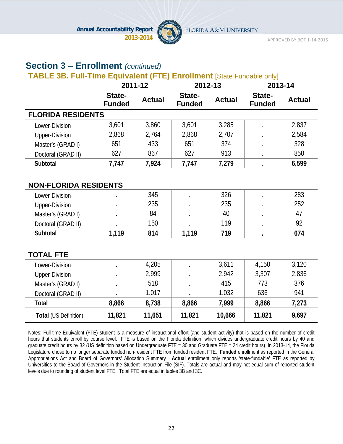

APPROVED BY BOT 1‐14‐2015

### **Section 3 – Enrollment** *(continued)*

### **TABLE 3B. Full-Time Equivalent (FTE) Enrollment** [State Fundable only]

|                              | 2011-12                 |               | 2012-13                 |               | 2013-14                 |               |
|------------------------------|-------------------------|---------------|-------------------------|---------------|-------------------------|---------------|
|                              | State-<br><b>Funded</b> | <b>Actual</b> | State-<br><b>Funded</b> | <b>Actual</b> | State-<br><b>Funded</b> | <b>Actual</b> |
| <b>FLORIDA RESIDENTS</b>     |                         |               |                         |               |                         |               |
| Lower-Division               | 3,601                   | 3,860         | 3,601                   | 3,285         |                         | 2,837         |
| <b>Upper-Division</b>        | 2,868                   | 2,764         | 2,868                   | 2,707         |                         | 2,584         |
| Master's (GRAD I)            | 651                     | 433           | 651                     | 374           |                         | 328           |
| Doctoral (GRAD II)           | 627                     | 867           | 627                     | 913           |                         | 850           |
| Subtotal                     | 7,747                   | 7,924         | 7,747                   | 7,279         |                         | 6,599         |
|                              |                         |               |                         |               |                         |               |
| <b>NON-FLORIDA RESIDENTS</b> |                         |               |                         |               |                         |               |
| Lower-Division               |                         | 345           |                         | 326           |                         | 283           |
| <b>Upper-Division</b>        |                         | 235           |                         | 235           |                         | 252           |
| Master's (GRAD I)            |                         | 84            |                         | 40            |                         | 47            |
| Doctoral (GRAD II)           |                         | 150           |                         | 119           | $\bullet$               | 92            |
| Subtotal                     | 1,119                   | 814           | 1,119                   | 719           |                         | 674           |
|                              |                         |               |                         |               |                         |               |
| <b>TOTAL FTE</b>             |                         |               |                         |               |                         |               |
| Lower-Division               |                         | 4,205         |                         | 3,611         | 4,150                   | 3,120         |
| <b>Upper-Division</b>        |                         | 2,999         |                         | 2,942         | 3,307                   | 2,836         |
| Master's (GRAD I)            |                         | 518           |                         | 415           | 773                     | 376           |
| Doctoral (GRAD II)           |                         | 1,017         |                         | 1,032         | 636                     | 941           |
| <b>Total</b>                 | 8,866                   | 8,738         | 8,866                   | 7,999         | 8,866                   | 7,273         |
| Total (US Definition)        | 11,821                  | 11,651        | 11,821                  | 10,666        | 11,821                  | 9,697         |

Notes: Full-time Equivalent (FTE) student is a measure of instructional effort (and student activity) that is based on the number of credit hours that students enroll by course level. FTE is based on the Florida definition, which divides undergraduate credit hours by 40 and graduate credit hours by 32 (US definition based on Undergraduate FTE = 30 and Graduate FTE = 24 credit hours). In 2013-14, the Florida Legislature chose to no longer separate funded non-resident FTE from funded resident FTE. **Funded** enrollment as reported in the General Appropriations Act and Board of Governors' Allocation Summary. **Actual** enrollment only reports 'state-fundable' FTE as reported by Universities to the Board of Governors in the Student Instruction File (SIF). Totals are actual and may not equal sum of reported student levels due to rounding of student level FTE. Total FTE are equal in tables 3B and 3C.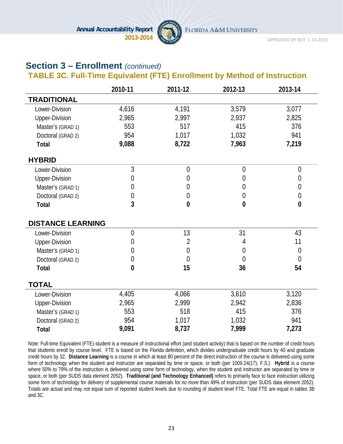

APPROVED BY BOT 1‐14‐2015

### **Section 3 – Enrollment** *(continued)*

### **TABLE 3C. Full-Time Equivalent (FTE) Enrollment by Method of Instruction**

|                          | 2010-11        | 2011-12        | 2012-13        | 2013-14        |
|--------------------------|----------------|----------------|----------------|----------------|
| <b>TRADITIONAL</b>       |                |                |                |                |
| Lower-Division           | 4,616          | 4,191          | 3,579          | 3,077          |
| <b>Upper-Division</b>    | 2,965          | 2,997          | 2,937          | 2,825          |
| Master's (GRAD 1)        | 553            | 517            | 415            | 376            |
| Doctoral (GRAD 2)        | 954            | 1,017          | 1,032          | 941            |
| <b>Total</b>             | 9,088          | 8,722          | 7,963          | 7,219          |
| <b>HYBRID</b>            |                |                |                |                |
| Lower-Division           | $\overline{3}$ | $\overline{0}$ | $\overline{0}$ | $\overline{0}$ |
| <b>Upper-Division</b>    | 0              | 0              | 0              | $\overline{0}$ |
| Master's (GRAD 1)        | 0              | $\theta$       | $\theta$       | $\overline{0}$ |
| Doctoral (GRAD 2)        | 0              | $\overline{0}$ | $\overline{0}$ | $\mathbf{0}$   |
| <b>Total</b>             | 3              | $\bf{0}$       | $\mathbf{0}$   | $\bf{0}$       |
| <b>DISTANCE LEARNING</b> |                |                |                |                |
| Lower-Division           | $\overline{0}$ | 13             | 31             | 43             |
| <b>Upper-Division</b>    | 0              | $\overline{2}$ | 4              | 11             |
| Master's (GRAD 1)        | 0              | 0              | $\overline{0}$ | $\overline{0}$ |
| Doctoral (GRAD 2)        | 0              | $\overline{0}$ | $\theta$       | $\overline{0}$ |
| <b>Total</b>             | $\bf{0}$       | 15             | 36             | 54             |
| <b>TOTAL</b>             |                |                |                |                |
| Lower-Division           | 4,405          | 4,066          | 3,610          | 3,120          |
| <b>Upper-Division</b>    | 2,965          | 2,999          | 2,942          | 2,836          |
| Master's (GRAD 1)        | 553            | 518            | 415            | 376            |
| Doctoral (GRAD 2)        | 954            | 1,017          | 1,032          | 941            |
| <b>Total</b>             | 9,091          | 8,737          | 7,999          | 7,273          |

Note: Full-time Equivalent (FTE) student is a measure of instructional effort (and student activity) that is based on the number of credit hours that students enroll by course level. FTE is based on the Florida definition, which divides undergraduate credit hours by 40 and graduate credit hours by 32. **Distance Learning** is a course in which at least 80 percent of the direct instruction of the course is delivered using some form of technology when the student and instructor are separated by time or space, or both (per 1009.24(17), *F.S.*). **Hybrid** is a course where 50% to 79% of the instruction is delivered using some form of technology, when the student and instructor are separated by time or space, or both (per SUDS data element 2052). **Traditional (and Technology Enhanced)** refers to primarily face to face instruction utilizing some form of technology for delivery of supplemental course materials for *no more* than 49% of instruction (per SUDS data element 2052). Totals are actual and may not equal sum of reported student levels due to rounding of student level FTE. Total FTE are equal in tables 3B and 3C.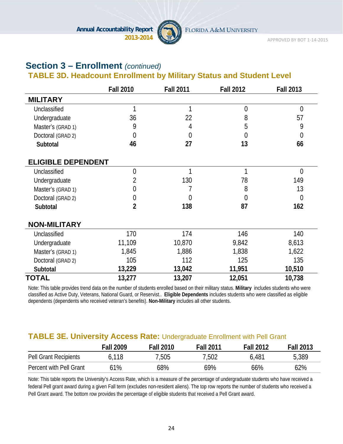

# **Section 3 – Enrollment** *(continued)*

### **TABLE 3D. Headcount Enrollment by Military Status and Student Level**

|                           | <b>Fall 2010</b> | <b>Fall 2011</b> | <b>Fall 2012</b> | <b>Fall 2013</b> |
|---------------------------|------------------|------------------|------------------|------------------|
| <b>MILITARY</b>           |                  |                  |                  |                  |
| Unclassified              | 1                | 1                | $\overline{0}$   | $\overline{0}$   |
| Undergraduate             | 36               | 22               | 8                | 57               |
| Master's (GRAD 1)         | 9                | 4                | 5                | 9                |
| Doctoral (GRAD 2)         | $\overline{0}$   | 0                | 0                | $\boldsymbol{0}$ |
| Subtotal                  | 46               | 27               | 13               | 66               |
| <b>ELIGIBLE DEPENDENT</b> |                  |                  |                  |                  |
| Unclassified              | $\overline{0}$   | 1                | 1                | $\overline{0}$   |
| Undergraduate             | 2                | 130              | 78               | 149              |
| Master's (GRAD 1)         | 0                |                  | 8                | 13               |
| Doctoral (GRAD 2)         | $\overline{0}$   | 0                | $\overline{0}$   | $\overline{0}$   |
| Subtotal                  | $\overline{2}$   | 138              | 87               | 162              |
| <b>NON-MILITARY</b>       |                  |                  |                  |                  |
| Unclassified              | 170              | 174              | 146              | 140              |
| Undergraduate             | 11,109           | 10,870           | 9,842            | 8,613            |
| Master's (GRAD 1)         | 1,845            | 1,886            | 1,838            | 1,622            |
| Doctoral (GRAD 2)         | 105              | 112              | 125              | 135              |
| Subtotal                  | 13,229           | 13,042           | 11,951           | 10,510           |
| <b>TOTAL</b>              | 13,277           | 13,207           | 12,051           | 10,738           |

Note: This table provides trend data on the number of students enrolled based on their military status. **Military** includes students who were classified as Active Duty, Veterans, National Guard, or Reservist.. **Eligible Dependents** includes students who were classified as eligible dependents (dependents who received veteran's benefits). **Non-Military** includes all other students.

### **TABLE 3E. University Access Rate:** Undergraduate Enrollment with Pell Grant

|                              | <b>Fall 2009</b> | <b>Fall 2010</b> | <b>Fall 2011</b> | <b>Fall 2012</b> | <b>Fall 2013</b> |
|------------------------------|------------------|------------------|------------------|------------------|------------------|
| <b>Pell Grant Recipients</b> | 6.118            | 7,505            | 7,502            | 6,481            | 5,389            |
| Percent with Pell Grant      | 61%              | 68%              | 69%              | 66%              | 62%              |

Note: This table reports the University's Access Rate, which is a measure of the percentage of undergraduate students who have received a federal Pell grant award during a given Fall term (excludes non-resident aliens). The top row reports the number of students who received a Pell Grant award. The bottom row provides the percentage of eligible students that received a Pell Grant award.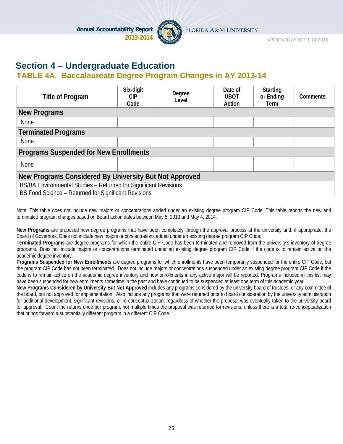

APPROVED BY BOT 1‐14‐2015

### **Section 4 – Undergraduate Education**

### **TABLE 4A. Baccalaureate Degree Program Changes in AY 2013-14**

| <b>Title of Program</b>                                                                                                  | Six-digit<br>CIP.<br>Code | Degree<br>Level | Date of<br><b>UBOT</b><br>Action | <b>Starting</b><br>or Ending<br>Term | <b>Comments</b> |  |  |
|--------------------------------------------------------------------------------------------------------------------------|---------------------------|-----------------|----------------------------------|--------------------------------------|-----------------|--|--|
| <b>New Programs</b>                                                                                                      |                           |                 |                                  |                                      |                 |  |  |
| <b>None</b>                                                                                                              |                           |                 |                                  |                                      |                 |  |  |
| <b>Terminated Programs</b>                                                                                               |                           |                 |                                  |                                      |                 |  |  |
| <b>None</b>                                                                                                              |                           |                 |                                  |                                      |                 |  |  |
| <b>Programs Suspended for New Enrollments</b>                                                                            |                           |                 |                                  |                                      |                 |  |  |
| None                                                                                                                     |                           |                 |                                  |                                      |                 |  |  |
| New Programs Considered By University But Not Approved                                                                   |                           |                 |                                  |                                      |                 |  |  |
| BS/BA Environmental Studies - Returned for Significant Revisions<br>BS Food Science - Returned for Significant Revisions |                           |                 |                                  |                                      |                 |  |  |

Note: This table does not include new majors or concentrations added under an existing degree program CIP Code. This table reports the new and terminated program changes based on Board action dates between May 5, 2013 and May 4, 2014.

**New Programs** are proposed new degree programs that have been completely through the approval process at the university and, if appropriate, the Board of Governors. Does not include new majors or concentrations added under an existing degree program CIP Code.

**Terminated Programs** are degree programs for which the entire CIP Code has been terminated and removed from the university's inventory of degree programs. Does not include majors or concentrations terminated under an existing degree program CIP Code if the code is to remain active on the academic degree inventory.

**Programs Suspended for New Enrollments** are degree programs for which enrollments have been temporarily suspended for the entire CIP Code, but the program CIP Code has not been terminated. Does not include majors or concentrations suspended under an existing degree program CIP Code if the code is to remain active on the academic degree inventory and new enrollments in any active major will be reported. Programs included in this list may have been suspended for new enrollments sometime in the past and have continued to be suspended at least one term of this academic year.

**New Programs Considered by University But Not Approved** includes any programs considered by the university board of trustees, or any committee of the board, but not approved for implementation. Also include any programs that were returned prior to board consideration by the university administration for additional development, significant revisions, or re-conceptualization; regardless of whether the proposal was eventually taken to the university board for approval. Count the returns once per program, not multiple times the proposal was returned for revisions, unless there is a total re-conceptualization that brings forward a substantially different program in a different CIP Code.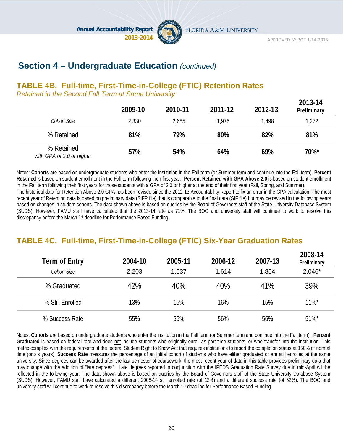

FLORIDA A&M UNIVERSITY

### **Section 4 – Undergraduate Education** *(continued)*

#### **TABLE 4B. Full-time, First-Time-in-College (FTIC) Retention Rates**

*Retained in the Second Fall Term at Same University*

|                                         | 2009-10 | 2010-11 | 2011-12 | 2012-13 | 2013-14<br>Preliminary |
|-----------------------------------------|---------|---------|---------|---------|------------------------|
| Cohort Size                             | 2,330   | 2,685   | 1.975   | 1,498   | 1,272                  |
| % Retained                              | 81%     | 79%     | 80%     | 82%     | 81%                    |
| % Retained<br>with GPA of 2.0 or higher | 57%     | 54%     | 64%     | 69%     | 70%*                   |

Notes: **Cohorts** are based on undergraduate students who enter the institution in the Fall term (or Summer term and continue into the Fall term). **Percent Retained** is based on student enrollment in the Fall term following their first year. **Percent Retained with GPA Above 2.0** is based on student enrollment in the Fall term following their first years for those students with a GPA of 2.0 or higher at the end of their first year (Fall, Spring, and Summer). The historical data for Retention Above 2.0 GPA has been revised since the 2012-13 Accountability Report to fix an error in the GPA calculation. The most recent year of Retention data is based on preliminary data (SIFP file) that is comparable to the final data (SIF file) but may be revised in the following years based on changes in student cohorts. The data shown above is based on queries by the Board of Governors staff of the State University Database System (SUDS). However, FAMU staff have calculated that the 2013-14 rate as 71%. The BOG and university staff will continue to work to resolve this discrepancy before the March 1st deadline for Performance Based Funding.

### **TABLE 4C. Full-time, First-Time-in-College (FTIC) Six-Year Graduation Rates**

| Term of Entry    | 2004-10 | 2005-11 | 2006-12 | 2007-13 | 2008-14<br>Preliminary |
|------------------|---------|---------|---------|---------|------------------------|
| Cohort Size      | 2,203   | 1,637   | 1,614   | 1,854   | $2,046*$               |
| % Graduated      | 42%     | 40%     | 40%     | 41%     | 39%                    |
| % Still Enrolled | 13%     | 15%     | 16%     | 15%     | $11\%$ <sup>*</sup>    |
| % Success Rate   | 55%     | 55%     | 56%     | 56%     | $51\%$ *               |

Notes: **Cohorts** are based on undergraduate students who enter the institution in the Fall term (or Summer term and continue into the Fall term). **Percent Graduated** is based on federal rate and does not include students who originally enroll as part-time students, or who transfer into the institution. This metric complies with the requirements of the federal Student Right to Know Act that requires institutions to report the completion status at 150% of normal time (or six years). **Success Rate** measures the percentage of an initial cohort of students who have either graduated or are still enrolled at the same university. Since degrees can be awarded after the last semester of coursework, the most recent year of data in this table provides preliminary data that may change with the addition of "late degrees". Late degrees reported in conjunction with the IPEDS Graduation Rate Survey due in mid-April will be reflected in the following year. The data shown above is based on queries by the Board of Governors staff of the State University Database System (SUDS). However, FAMU staff have calculated a different 2008-14 still enrolled rate (of 12%) and a different success rate (of 52%). The BOG and university staff will continue to work to resolve this discrepancy before the March 1<sup>st</sup> deadline for Performance Based Funding.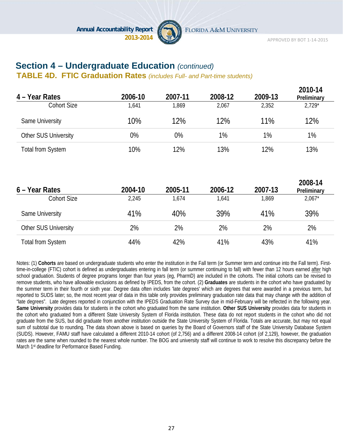

APPROVED BY BOT 1‐14‐2015

### **Section 4 – Undergraduate Education** *(continued)*

**TABLE 4D. FTIC Graduation Rates** *(includes Full- and Part-time students)*

| 4 - Year Rates           | 2006-10 | 2007-11 | 2008-12 | 2009-13 | 2010-14<br>Preliminary |
|--------------------------|---------|---------|---------|---------|------------------------|
| <b>Cohort Size</b>       | 1,641   | 1,869   | 2,067   | 2,352   | $2,729*$               |
| Same University          | 10%     | 12%     | 12%     | 11%     | 12%                    |
| Other SUS University     | 0%      | 0%      | 1%      | 1%      | 1%                     |
| <b>Total from System</b> | 10%     | 12%     | 13%     | 12%     | 13%                    |
| 6 – Year Rates           | 2004-10 | 2005-11 | 2006-12 | 2007-13 | 2008-14<br>Preliminary |
| <b>Cohort Size</b>       | 2,245   | 1,674   | 1,641   | 1,869   | $2,067*$               |
| Same University          | 41%     | 40%     | 39%     | 41%     | 39%                    |
| Other SUS University     | 2%      | 2%      | 2%      | 2%      | 2%                     |
| <b>Total from System</b> | 44%     | 42%     | 41%     | 43%     | 41%                    |

Notes: (1) **Cohorts** are based on undergraduate students who enter the institution in the Fall term (or Summer term and continue into the Fall term). Firsttime-in-college (FTIC) cohort is defined as undergraduates entering in fall term (or summer continuing to fall) with fewer than 12 hours earned after high school graduation. Students of degree programs longer than four years (eg, PharmD) are included in the cohorts. The initial cohorts can be revised to remove students, who have allowable exclusions as defined by IPEDS, from the cohort. (2) **Graduates** are students in the cohort who have graduated by the summer term in their fourth or sixth year. Degree data often includes 'late degrees' which are degrees that were awarded in a previous term, but reported to SUDS later; so, the most recent year of data in this table only provides preliminary graduation rate data that may change with the addition of "late degrees". Late degrees reported in conjunction with the IPEDS Graduation Rate Survey due in mid-February will be reflected in the following year. **Same University** provides data for students in the cohort who graduated from the same institution. **Other SUS University** provides data for students in the cohort who graduated from a different State University System of Florida institution. These data do not report students in the cohort who did not graduate from the SUS, but did graduate from another institution outside the State University System of Florida. Totals are accurate, but may not equal sum of subtotal due to rounding. The data shown above is based on queries by the Board of Governors staff of the State University Database System (SUDS). However, FAMU staff have calculated a different 2010-14 cohort (of 2,756) and a different 2008-14 cohort (of 2,129), however, the graduation rates are the same when rounded to the nearest whole number. The BOG and university staff will continue to work to resolve this discrepancy before the March 1st deadline for Performance Based Funding.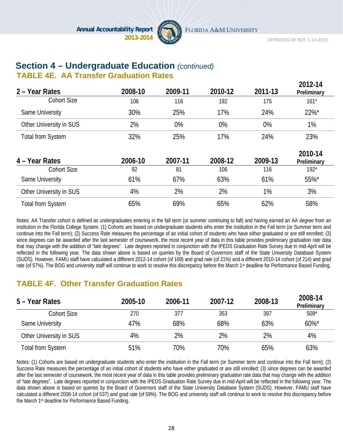

APPROVED BY BOT 1‐14‐2015

#### **Section 4 – Undergraduate Education** *(continued)* **TABLE 4E. AA Transfer Graduation Rates**

| 2 – Year Rates           | 2008-10 | 2009-11 | 2010-12 | 2011-13 | 2012-14<br>Preliminary |
|--------------------------|---------|---------|---------|---------|------------------------|
| <b>Cohort Size</b>       | 106     | 116     | 192     | 175     | $161*$                 |
| Same University          | 30%     | 25%     | 17%     | 24%     | 22%*                   |
| Other University in SUS  | 2%      | 0%      | 0%      | 0%      | 1%                     |
| <b>Total from System</b> | 32%     | 25%     | 17%     | 24%     | 23%                    |
| 4 - Year Rates           | 2006-10 | 2007-11 | 2008-12 | 2009-13 | 2010-14<br>Preliminary |
| <b>Cohort Size</b>       | 92      | 81      | 106     | 116     | $192*$                 |
| Same University          | 61%     | 67%     | 63%     | 61%     | 55%*                   |
| Other University in SUS  | 4%      | 2%      | 2%      | 1%      | 3%                     |
| <b>Total from System</b> | 65%     | 69%     | 65%     | 62%     | 58%                    |

Notes: AA Transfer cohort is defined as undergraduates entering in the fall term (or summer continuing to fall) and having earned an AA degree from an institution in the Florida College System. (1) Cohorts are based on undergraduate students who enter the institution in the Fall term (or Summer term and continue into the Fall term); (2) Success Rate measures the percentage of an initial cohort of students who have either graduated or are still enrolled; (3) since degrees can be awarded after the last semester of coursework, the most recent year of data in this table provides preliminary graduation rate data that may change with the addition of "late degrees". Late degrees reported in conjunction with the IPEDS Graduation Rate Survey due in mid-April will be reflected in the following year. The data shown above is based on queries by the Board of Governors staff of the State University Database System (SUDS). However, FAMU staff have calculated a different 2012-14 cohort (of 169) and grad rate (of 21%) and a different 2010-14 cohort (of 214) and grad rate (of 57%). The BOG and university staff will continue to work to resolve this discrepancy before the March 1<sup>st</sup> deadline for Performance Based Funding.

### **TABLE 4F. Other Transfer Graduation Rates**

| 5 – Year Rates           | 2005-10 | 2006-11 | 2007-12 | 2008-13 | 2008-14<br>Preliminary |
|--------------------------|---------|---------|---------|---------|------------------------|
| Cohort Size              | 270     | 377     | 353     | 397     | $509*$                 |
| Same University          | 47%     | 68%     | 68%     | 63%     | $60\%$ *               |
| Other University in SUS  | 4%      | 2%      | 2%      | 2%      | 4%                     |
| <b>Total from System</b> | 51%     | 70%     | 70%     | 65%     | 63%                    |

Notes: (1) Cohorts are based on undergraduate students who enter the institution in the Fall term (or Summer term and continue into the Fall term); (2) Success Rate measures the percentage of an initial cohort of students who have either graduated or are still enrolled; (3) since degrees can be awarded after the last semester of coursework, the most recent year of data in this table provides preliminary graduation rate data that may change with the addition of "late degrees". Late degrees reported in conjunction with the IPEDS Graduation Rate Survey due in mid-April will be reflected in the following year. The data shown above is based on queries by the Board of Governors staff of the State University Database System (SUDS). However, FAMU staff have calculated a different 2008-14 cohort (of 537) and grad rate (of 59%). The BOG and university staff will continue to work to resolve this discrepancy before the March 1st deadline for Performance Based Funding.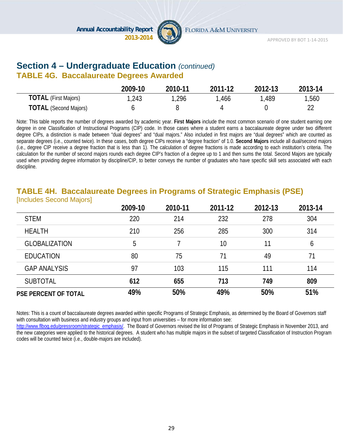

# **Section 4 – Undergraduate Education** *(continued)*

### **TABLE 4G. Baccalaureate Degrees Awarded**

|                              | 2009-10 | 2010-11 | 2011-12 | 2012-13 | 2013-14 |
|------------------------------|---------|---------|---------|---------|---------|
| <b>TOTAL</b> (First Majors)  | 1,243   | ,296    | .466    | ,489    | 1,560   |
| <b>TOTAL</b> (Second Majors) |         |         |         |         |         |

Note: This table reports the number of degrees awarded by academic year. **First Majors** include the most common scenario of one student earning one degree in one Classification of Instructional Programs (CIP) code. In those cases where a student earns a baccalaureate degree under two different degree CIPs, a distinction is made between "dual degrees" and "dual majors." Also included in first majors are "dual degrees" which are counted as separate degrees (i.e., counted twice). In these cases, both degree CIPs receive a "degree fraction" of 1.0. **Second Majors** include all dual/second majors (i.e., degree CIP receive a degree fraction that is less than 1). The calculation of degree fractions is made according to each institution's criteria. The calculation for the number of second majors rounds each degree CIP's fraction of a degree up to 1 and then sums the total. Second Majors are typically used when providing degree information by discipline/CIP, to better conveys the number of graduates who have specific skill sets associated with each discipline.

#### **TABLE 4H. Baccalaureate Degrees in Programs of Strategic Emphasis (PSE)**  [Includes Second Majors]

|                             | 2009-10 | 2010-11 | 2011-12 | 2012-13 | 2013-14 |
|-----------------------------|---------|---------|---------|---------|---------|
| <b>STEM</b>                 | 220     | 214     | 232     | 278     | 304     |
| <b>HEALTH</b>               | 210     | 256     | 285     | 300     | 314     |
| <b>GLOBALIZATION</b>        | 5       |         | 10      | 11      | 6       |
| <b>EDUCATION</b>            | 80      | 75      | 71      | 49      | 71      |
| <b>GAP ANALYSIS</b>         | 97      | 103     | 115     | 111     | 114     |
| <b>SUBTOTAL</b>             | 612     | 655     | 713     | 749     | 809     |
| <b>PSE PERCENT OF TOTAL</b> | 49%     | 50%     | 49%     | 50%     | 51%     |

Notes: This is a count of baccalaureate degrees awarded within specific Programs of Strategic Emphasis, as determined by the Board of Governors staff with consultation with business and industry groups and input from universities – for more information see:

http://www.flbog.edu/pressroom/strategic\_emphasis/. The Board of Governors revised the list of Programs of Strategic Emphasis in November 2013, and the new categories were applied to the historical degrees. A student who has multiple majors in the subset of targeted Classification of Instruction Program codes will be counted twice (i.e., double-majors are included).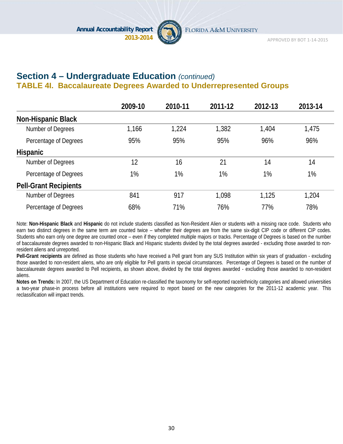

### **Section 4 – Undergraduate Education** *(continued)* **TABLE 4I. Baccalaureate Degrees Awarded to Underrepresented Groups**

|                              | 2009-10 | 2010-11 | 2011-12 | 2012-13 | 2013-14 |
|------------------------------|---------|---------|---------|---------|---------|
| <b>Non-Hispanic Black</b>    |         |         |         |         |         |
| Number of Degrees            | 1,166   | 1,224   | 1,382   | 1,404   | 1,475   |
| Percentage of Degrees        | 95%     | 95%     | 95%     | 96%     | 96%     |
| <b>Hispanic</b>              |         |         |         |         |         |
| Number of Degrees            | 12      | 16      | 21      | 14      | 14      |
| Percentage of Degrees        | 1%      | 1%      | 1%      | 1%      | 1%      |
| <b>Pell-Grant Recipients</b> |         |         |         |         |         |
| Number of Degrees            | 841     | 917     | 1,098   | 1,125   | 1,204   |
| Percentage of Degrees        | 68%     | 71%     | 76%     | 77%     | 78%     |

Note: **Non-Hispanic Black** and **Hispanic** do not include students classified as Non-Resident Alien or students with a missing race code. Students who earn two distinct degrees in the same term are counted twice – whether their degrees are from the same six-digit CIP code or different CIP codes. Students who earn only one degree are counted once – even if they completed multiple majors or tracks. Percentage of Degrees is based on the number of baccalaureate degrees awarded to non-Hispanic Black and Hispanic students divided by the total degrees awarded - excluding those awarded to nonresident aliens and unreported.

**Pell-Grant recipients** are defined as those students who have received a Pell grant from any SUS Institution within six years of graduation - excluding those awarded to non-resident aliens, who are only eligible for Pell grants in special circumstances. Percentage of Degrees is based on the number of baccalaureate degrees awarded to Pell recipients, as shown above, divided by the total degrees awarded - excluding those awarded to non-resident aliens.

**Notes on Trends:** In 2007, the US Department of Education re-classified the taxonomy for self-reported race/ethnicity categories and allowed universities a two-year phase-in process before all institutions were required to report based on the new categories for the 2011-12 academic year. This reclassification will impact trends.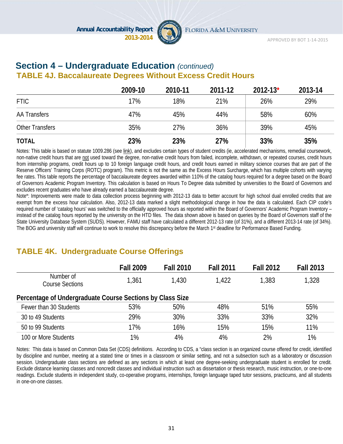

### **Section 4 – Undergraduate Education** *(continued)*  **TABLE 4J. Baccalaureate Degrees Without Excess Credit Hours**

|                        | 2009-10 | 2010-11 | 2011-12 | $2012 - 13*$ | 2013-14 |
|------------------------|---------|---------|---------|--------------|---------|
| <b>FTIC</b>            | 17%     | 18%     | 21%     | 26%          | 29%     |
| <b>AA Transfers</b>    | 47%     | 45%     | 44%     | 58%          | 60%     |
| <b>Other Transfers</b> | 35%     | 27%     | 36%     | 39%          | 45%     |
| <b>TOTAL</b>           | 23%     | 23%     | 27%     | 33%          | 35%     |

Notes: This table is based on statute 1009.286 (see link), and excludes certain types of student credits (ie, accelerated mechanisms, remedial coursework, non-native credit hours that are not used toward the degree, non-native credit hours from failed, incomplete, withdrawn, or repeated courses, credit hours from internship programs, credit hours up to 10 foreign language credit hours, and credit hours earned in military science courses that are part of the Reserve Officers' Training Corps (ROTC) program). This metric is not the same as the Excess Hours Surcharge, which has multiple cohorts with varying fee rates. This table reports the percentage of baccalaureate degrees awarded within 110% of the catalog hours required for a degree based on the Board of Governors Academic Program Inventory. This calculation is based on Hours To Degree data submitted by universities to the Board of Governors and excludes recent graduates who have already earned a baccalaureate degree.

Note\*: Improvements were made to data collection process beginning with 2012-13 data to better account for high school dual enrolled credits that are exempt from the excess hour calculation. Also, 2012-13 data marked a slight methodological change in how the data is calculated. Each CIP code's required number of 'catalog hours' was switched to the officially approved hours as reported within the Board of Governors' Academic Program Inventory – instead of the catalog hours reported by the university on the HTD files. The data shown above is based on queries by the Board of Governors staff of the State University Database System (SUDS). However, FAMU staff have calculated a different 2012-13 rate (of 31%), and a different 2013-14 rate (of 34%). The BOG and university staff will continue to work to resolve this discrepancy before the March 1<sup>st</sup> deadline for Performance Based Funding.

### **TABLE 4K. Undergraduate Course Offerings**

|                                                           | <b>Fall 2009</b> | <b>Fall 2010</b> | <b>Fall 2011</b> | <b>Fall 2012</b> | <b>Fall 2013</b> |
|-----------------------------------------------------------|------------------|------------------|------------------|------------------|------------------|
| Number of<br><b>Course Sections</b>                       | 1,361            | 1,430            | 1.422            | 1,383            | 1,328            |
| Percentage of Undergraduate Course Sections by Class Size |                  |                  |                  |                  |                  |
| Fewer than 30 Students                                    | 53%              | 50%              | 48%              | 51%              | 55%              |
| 30 to 49 Students                                         | 29%              | 30%              | 33%              | 33%              | 32%              |
| 50 to 99 Students                                         | 17%              | 16%              | 15%              | 15%              | 11%              |
| 100 or More Students                                      | 1%               | 4%               | 4%               | 2%               | 1%               |

Notes: This data is based on Common Data Set (CDS) definitions. According to CDS, a "class section is an organized course offered for credit, identified by discipline and number, meeting at a stated time or times in a classroom or similar setting, and not a subsection such as a laboratory or discussion session. Undergraduate class sections are defined as any sections in which at least one degree-seeking undergraduate student is enrolled for credit. Exclude distance learning classes and noncredit classes and individual instruction such as dissertation or thesis research, music instruction, or one-to-one readings. Exclude students in independent study, co-operative programs, internships, foreign language taped tutor sessions, practicums, and all students in one-on-one classes.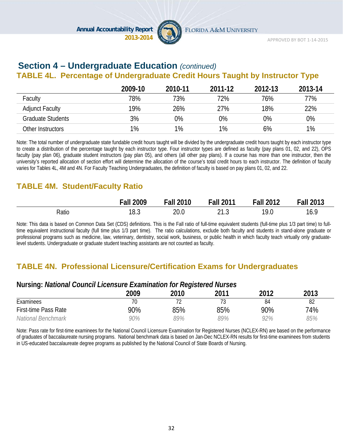

#### **Section 4 – Undergraduate Education** *(continued)* **TABLE 4L. Percentage of Undergraduate Credit Hours Taught by Instructor Type**

|                          | 2009-10 | 2010-11 | 2011-12 | 2012-13 | 2013-14 |
|--------------------------|---------|---------|---------|---------|---------|
| Faculty                  | 78%     | 73%     | 72%     | 76%     | 77%     |
| <b>Adjunct Faculty</b>   | 19%     | 26%     | 27%     | 18%     | 22%     |
| <b>Graduate Students</b> | 3%      | 0%      | 0%      | 0%      | 0%      |
| Other Instructors        | 1%      | $1\%$   | 1%      | 6%      | $1\%$   |

Note: The total number of undergraduate state fundable credit hours taught will be divided by the undergraduate credit hours taught by each instructor type to create a distribution of the percentage taught by each instructor type. Four instructor types are defined as faculty (pay plans 01, 02, and 22), OPS faculty (pay plan 06), graduate student instructors (pay plan 05), and others (all other pay plans). If a course has more than one instructor, then the university's reported allocation of section effort will determine the allocation of the course's total credit hours to each instructor. The definition of faculty varies for Tables 4L, 4M and 4N. For Faculty Teaching Undergraduates, the definition of faculty is based on pay plans 01, 02, and 22.

### **TABLE 4M. Student/Faculty Ratio**

|       | 2009<br>all- | <b>Fall 2010</b> | 2011<br>Fall   | <b>Fall 2012</b> | Fall<br>2013 |
|-------|--------------|------------------|----------------|------------------|--------------|
| Ratio | 18.3         | 20.0             | ົາ ລ<br>ن ۱۰ ک | 10 በ<br>7.U      | 16.          |

Note: This data is based on Common Data Set (CDS) definitions. This is the Fall ratio of full-time equivalent students (full-time plus 1/3 part time) to fulltime equivalent instructional faculty (full time plus 1/3 part time). The ratio calculations, exclude both faculty and students in stand-alone graduate or professional programs such as medicine, law, veterinary, dentistry, social work, business, or public health in which faculty teach virtually only graduatelevel students. Undergraduate or graduate student teaching assistants are not counted as faculty.

### **TABLE 4N. Professional Licensure/Certification Exams for Undergraduates**

#### **Nursing:** *National Council Licensure Examination for Registered Nurses*

| ت ۔<br>____                 | 2009 | 2010 | 2011 | 2012 | 2013 |
|-----------------------------|------|------|------|------|------|
| Examinees                   | 70   |      |      | 84   | 82   |
| <b>First-time Pass Rate</b> | 90%  | 85%  | 85%  | 90%  | 74%  |
| National Benchmark          | 90%  | 99%  | 89%  | 92%  | 85%  |

Note: Pass rate for first-time examinees for the National Council Licensure Examination for Registered Nurses (NCLEX-RN) are based on the performance of graduates of baccalaureate nursing programs. National benchmark data is based on Jan-Dec NCLEX-RN results for first-time examinees from students in US-educated baccalaureate degree programs as published by the National Council of State Boards of Nursing.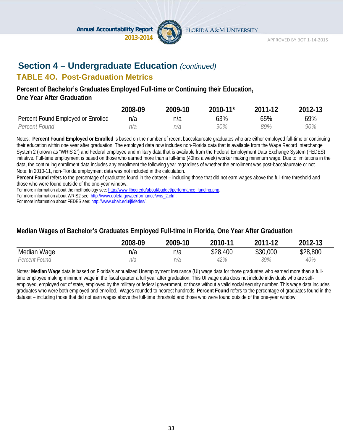

### **Section 4 – Undergraduate Education** *(continued)*

#### **TABLE 4O. Post-Graduation Metrics**

#### **Percent of Bachelor's Graduates Employed Full-time or Continuing their Education, One Year After Graduation**

|                                    | 2008-09 | 2009-10 | $2010 - 11$ <sup>*</sup> | 2011-12 | 2012-13 |
|------------------------------------|---------|---------|--------------------------|---------|---------|
| Percent Found Employed or Enrolled | n/a     | n/a     | 63%                      | 65%     | 69%     |
| Percent Found                      | n/a     | n/a     | 90%                      | 89%     | 90%     |

Notes: **Percent Found Employed or Enrolled** is based on the number of recent baccalaureate graduates who are either employed full-time or continuing their education within one year after graduation. The employed data now includes non-Florida data that is available from the Wage Record Interchange System 2 (known as "WRIS 2") and Federal employee and military data that is available from the Federal Employment Data Exchange System (FEDES) initiative. Full-time employment is based on those who earned more than a full-time (40hrs a week) worker making minimum wage. Due to limitations in the data, the continuing enrollment data includes any enrollment the following year regardless of whether the enrollment was post-baccalaureate or not. Note: In 2010-11, non-Florida employment data was not included in the calculation.

**Percent Found** refers to the percentage of graduates found in the dataset – including those that did not earn wages above the full-time threshold and those who were found outside of the one-year window.

For more information about the methodology see: http://www.flbog.edu/about/budget/performance\_funding.php.

For more information about WRIS2 see: http://www.doleta.gov/performance/wris\_2.cfm.

For more information about FEDES see: http://www.ubalt.edu/jfi/fedes/.

#### **Median Wages of Bachelor's Graduates Employed Full-time in Florida, One Year After Graduation**

|               | 2008-09 | 2009-10 | 2010-11  | 2011-12  | 2012-13  |
|---------------|---------|---------|----------|----------|----------|
| Median Wage   | n/a     | n/a     | \$28,400 | \$30,000 | \$28,800 |
| Percent Found | n/a     | n/a     | 42%      | 39%      | 40%      |

Notes: **Median Wage** data is based on Florida's annualized Unemployment Insurance (UI) wage data for those graduates who earned more than a fulltime employee making minimum wage in the fiscal quarter a full year after graduation. This UI wage data does not include individuals who are selfemployed, employed out of state, employed by the military or federal government, or those without a valid social security number. This wage data includes graduates who were both employed and enrolled. Wages rounded to nearest hundreds. **Percent Found** refers to the percentage of graduates found in the dataset – including those that did not earn wages above the full-time threshold and those who were found outside of the one-year window.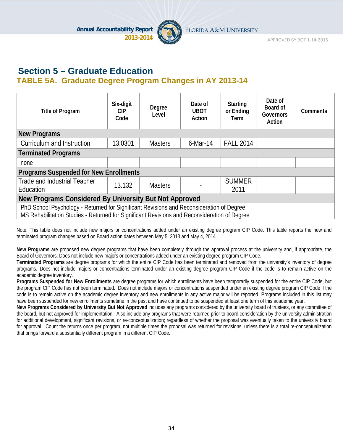

APPROVED BY BOT 1‐14‐2015

### **Section 5 – Graduate Education TABLE 5A. Graduate Degree Program Changes in AY 2013-14**

| Title of Program                                                                                                                                                                         | Six-digit<br><b>CIP</b><br>Code | Degree<br>Level | Date of<br><b>UBOT</b><br>Action | <b>Starting</b><br>or Ending<br>Term | Date of<br>Board of<br><b>Governors</b><br>Action | <b>Comments</b> |  |  |
|------------------------------------------------------------------------------------------------------------------------------------------------------------------------------------------|---------------------------------|-----------------|----------------------------------|--------------------------------------|---------------------------------------------------|-----------------|--|--|
| <b>New Programs</b>                                                                                                                                                                      |                                 |                 |                                  |                                      |                                                   |                 |  |  |
| Curriculum and Instruction                                                                                                                                                               | 13.0301                         | <b>Masters</b>  | $6$ -Mar-14                      | <b>FALL 2014</b>                     |                                                   |                 |  |  |
| <b>Terminated Programs</b>                                                                                                                                                               |                                 |                 |                                  |                                      |                                                   |                 |  |  |
| none                                                                                                                                                                                     |                                 |                 |                                  |                                      |                                                   |                 |  |  |
| <b>Programs Suspended for New Enrollments</b>                                                                                                                                            |                                 |                 |                                  |                                      |                                                   |                 |  |  |
| Trade and Industrial Teacher<br>Education                                                                                                                                                | 13.132                          | <b>Masters</b>  |                                  | <b>SUMMER</b><br>2011                |                                                   |                 |  |  |
| New Programs Considered By University But Not Approved                                                                                                                                   |                                 |                 |                                  |                                      |                                                   |                 |  |  |
| PhD School Psychology - Returned for Significant Revisions and Reconsideration of Degree<br>MS Rehabilitation Studies - Returned for Significant Revisions and Reconsideration of Degree |                                 |                 |                                  |                                      |                                                   |                 |  |  |

Note: This table does not include new majors or concentrations added under an existing degree program CIP Code. This table reports the new and terminated program changes based on Board action dates between May 5, 2013 and May 4, 2014.

**New Programs** are proposed new degree programs that have been completely through the approval process at the university and, if appropriate, the Board of Governors. Does not include new majors or concentrations added under an existing degree program CIP Code.

**Terminated Programs** are degree programs for which the entire CIP Code has been terminated and removed from the university's inventory of degree programs. Does not include majors or concentrations terminated under an existing degree program CIP Code if the code is to remain active on the academic degree inventory.

**Programs Suspended for New Enrollments** are degree programs for which enrollments have been temporarily suspended for the entire CIP Code, but the program CIP Code has not been terminated. Does not include majors or concentrations suspended under an existing degree program CIP Code if the code is to remain active on the academic degree inventory and new enrollments in any active major will be reported. Programs included in this list may have been suspended for new enrollments sometime in the past and have continued to be suspended at least one term of this academic year.

**New Programs Considered by University But Not Approved** includes any programs considered by the university board of trustees, or any committee of the board, but not approved for implementation. Also include any programs that were returned prior to board consideration by the university administration for additional development, significant revisions, or re-conceptualization; regardless of whether the proposal was eventually taken to the university board for approval. Count the returns once per program, not multiple times the proposal was returned for revisions, unless there is a total re-conceptualization that brings forward a substantially different program in a different CIP Code.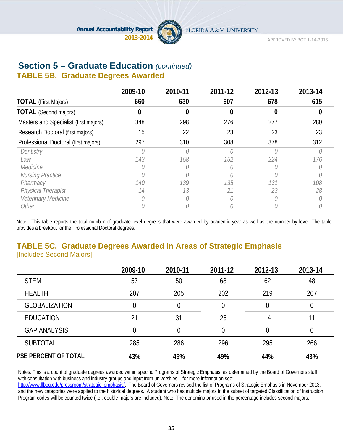

APPROVED BY BOT 1‐14‐2015

# **Section 5 – Graduate Education** *(continued)*

### **TABLE 5B. Graduate Degrees Awarded**

|                                       | 2009-10 | 2010-11 | 2011-12 | 2012-13 | 2013-14 |
|---------------------------------------|---------|---------|---------|---------|---------|
| <b>TOTAL</b> (First Majors)           | 660     | 630     | 607     | 678     | 615     |
| <b>TOTAL</b> (Second majors)          | 0       | 0       | 0       |         |         |
| Masters and Specialist (first majors) | 348     | 298     | 276     | 277     | 280     |
| Research Doctoral (first majors)      | 15      | 22      | 23      | 23      | 23      |
| Professional Doctoral (first majors)  | 297     | 310     | 308     | 378     | 312     |
| Dentistry                             |         |         |         |         |         |
| Law                                   | 143     | 158     | 152     | 224     | 176     |
| Medicine                              |         |         |         |         |         |
| <b>Nursing Practice</b>               |         |         |         |         |         |
| Pharmacy                              | 140     | 139     | 135     | 131     | 108     |
| <b>Physical Therapist</b>             | 14      | 13      | 21      | 23      | 28      |
| Veterinary Medicine                   |         |         |         |         |         |
| Other                                 |         |         |         |         |         |

Note: This table reports the total number of graduate level degrees that were awarded by academic year as well as the number by level. The table provides a breakout for the Professional Doctoral degrees.

### **TABLE 5C. Graduate Degrees Awarded in Areas of Strategic Emphasis**  [Includes Second Majors]

|                             | 2009-10 | 2010-11 | 2011-12 | 2012-13 | 2013-14  |
|-----------------------------|---------|---------|---------|---------|----------|
| <b>STEM</b>                 | 57      | 50      | 68      | 62      | 48       |
| <b>HEALTH</b>               | 207     | 205     | 202     | 219     | 207      |
| <b>GLOBALIZATION</b>        | 0       | 0       | 0       |         | $\theta$ |
| <b>EDUCATION</b>            | 21      | 31      | 26      | 14      | 11       |
| <b>GAP ANALYSIS</b>         | 0       | 0       | 0       |         | 0        |
| <b>SUBTOTAL</b>             | 285     | 286     | 296     | 295     | 266      |
| <b>PSE PERCENT OF TOTAL</b> | 43%     | 45%     | 49%     | 44%     | 43%      |

Notes: This is a count of graduate degrees awarded within specific Programs of Strategic Emphasis, as determined by the Board of Governors staff with consultation with business and industry groups and input from universities – for more information see:

http://www.flbog.edu/pressroom/strategic\_emphasis/. The Board of Governors revised the list of Programs of Strategic Emphasis in November 2013, and the new categories were applied to the historical degrees. A student who has multiple majors in the subset of targeted Classification of Instruction Program codes will be counted twice (i.e., double-majors are included). Note: The denominator used in the percentage includes second majors.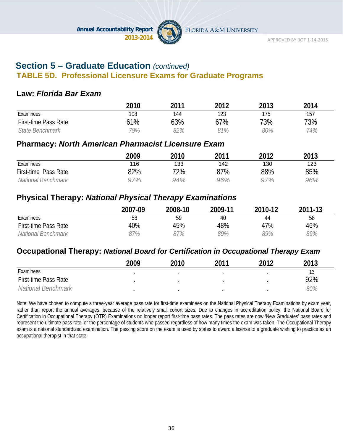

### **Section 5 – Graduate Education** *(continued)*

#### **TABLE 5D. Professional Licensure Exams for Graduate Programs**

#### **Law:** *Florida Bar Exam*

|                             | 2010 | 2011 | 2012 | 2013 | 2014 |
|-----------------------------|------|------|------|------|------|
| Examinees                   | 108  | 144  | 123  | 175  | 157  |
| <b>First-time Pass Rate</b> | 61%  | 63%  | 67%  | 73%  | 73%  |
| State Benchmark             | 79%  | 82%  | 91%  | 80%  | 74%  |

#### **Pharmacy:** *North American Pharmacist Licensure Exam*

|                      | 2009 | 2010 | 2011 | 2012 | 2013 |
|----------------------|------|------|------|------|------|
| Examinees            | 116  | 133  | 142  | 130  | 123  |
| First-time Pass Rate | 82%  | 72%  | 87%  | 88%  | 85%  |
| National Benchmark   | 97%  | 94%  | 96%  | 97%  | 96%  |

#### **Physical Therapy:** *National Physical Therapy Examinations*

|                             | 2007-09 | 2008-10 | 2009-11 | 2010-12 | 2011-13 |
|-----------------------------|---------|---------|---------|---------|---------|
| Examinees                   | 58      | 59      | 40      | 44      | 58      |
| <b>First-time Pass Rate</b> | 40%     | 45%     | 48%     | 47%     | 46%     |
| National Benchmark          | 37%     | 87%     | 89%     | 89%     | 89%     |

#### **Occupational Therapy:** *National Board for Certification in Occupational Therapy Exam*

|                             | 2009 | 2010 | 2011 | າ∩1າ | 2013 |
|-----------------------------|------|------|------|------|------|
| Examinees                   |      |      |      |      | 13   |
| <b>First-time Pass Rate</b> |      |      |      |      | 92%  |
| National Benchmark          |      |      |      |      | 80%  |

Note: We have chosen to compute a three-year average pass rate for first-time examinees on the National Physical Therapy Examinations by exam year, rather than report the annual averages, because of the relatively small cohort sizes. Due to changes in accreditation policy, the National Board for Certification in Occupational Therapy (OTR) Examinations no longer report first-time pass rates. The pass rates are now 'New Graduates' pass rates and represent the ultimate pass rate, or the percentage of students who passed regardless of how many times the exam was taken. The Occupational Therapy exam is a national standardized examination. The passing score on the exam is used by states to award a license to a graduate wishing to practice as an occupational therapist in that state.